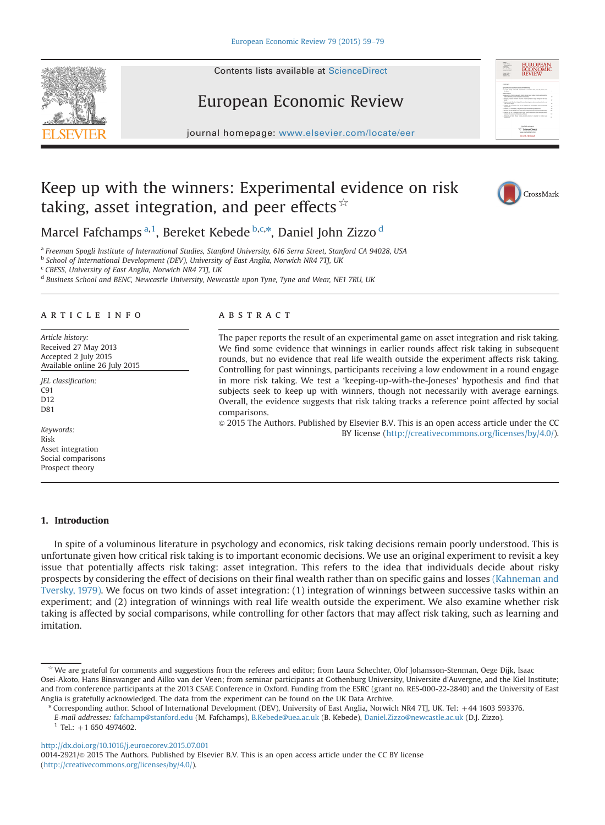



# European Economic Review

journal homepage: <www.elsevier.com/locate/eer>

# Keep up with the winners: Experimental evidence on risk taking, asset integration, and peer effects  $\dot{\mathbf{x}}$



Marcel Fafchamps <sup>a, 1</sup>, Bereket Kebede <sup>b,c,\*</sup>, Daniel John Zizzo <sup>d</sup>

<sup>a</sup> Freeman Spogli Institute of International Studies, Stanford University, 616 Serra Street, Stanford CA 94028, USA

**b** School of International Development (DEV), University of East Anglia, Norwich NR4 7TJ, UK

<sup>c</sup> CBESS, University of East Anglia, Norwich NR4 7TI, UK

<sup>d</sup> Business School and BENC, Newcastle University, Newcastle upon Tyne, Tyne and Wear, NE1 7RU, UK

#### ARTICIE INFO

Article history: Received 27 May 2013 Accepted 2 July 2015 Available online 26 July 2015

JEL classification: C91 D<sub>12</sub> D81

Keywords: Risk Asset integration Social comparisons Prospect theory

# **ARSTRACT**

The paper reports the result of an experimental game on asset integration and risk taking. We find some evidence that winnings in earlier rounds affect risk taking in subsequent rounds, but no evidence that real life wealth outside the experiment affects risk taking. Controlling for past winnings, participants receiving a low endowment in a round engage in more risk taking. We test a 'keeping-up-with-the-Joneses' hypothesis and find that subjects seek to keep up with winners, though not necessarily with average earnings. Overall, the evidence suggests that risk taking tracks a reference point affected by social comparisons.

& 2015 The Authors. Published by Elsevier B.V. This is an open access article under the CC BY license (http://creativecommons.org/licenses/by/4.0/).

# 1. Introduction

In spite of a voluminous literature in psychology and economics, risk taking decisions remain poorly understood. This is unfortunate given how critical risk taking is to important economic decisions. We use an original experiment to revisit a key issue that potentially affects risk taking: asset integration. This refers to the idea that individuals decide about risky prospects by considering the effect of decisions on their final wealth rather than on specific gains and losses [\(Kahneman and](#page-19-0) [Tversky, 1979\).](#page-19-0) We focus on two kinds of asset integration: (1) integration of winnings between successive tasks within an experiment; and (2) integration of winnings with real life wealth outside the experiment. We also examine whether risk taking is affected by social comparisons, while controlling for other factors that may affect risk taking, such as learning and imitation.

Corresponding author. School of International Development (DEV), University of East Anglia, Norwich NR4 7TJ, UK. Tel: +44 1603 593376. E-mail addresses: [fafchamp@stanford.edu](mailto:fafchamp@stanford.edu) (M. Fafchamps), [B.Kebede@uea.ac.uk](mailto:B.Kebede@uea.ac.uk) (B. Kebede), [Daniel.Zizzo@newcastle.ac.uk](mailto:Daniel.Zizzo@newcastle.ac.uk) (D.J. Zizzo).

 $1$  Tel.: +1 650 4974602.

<http://dx.doi.org/10.1016/j.euroecorev.2015.07.001> 0014-2921/@ 2015 The Authors. Published by Elsevier B.V. This is an open access article under the CC BY license (http://creativecommons.org/licenses/by/4.0/).

We are grateful for comments and suggestions from the referees and editor; from Laura Schechter, Olof Johansson-Stenman, Oege Dijk, Isaac Osei-Akoto, Hans Binswanger and Ailko van der Veen; from seminar participants at Gothenburg University, Universite d'Auvergne, and the Kiel Institute; and from conference participants at the 2013 CSAE Conference in Oxford. Funding from the ESRC (grant no. RES-000-22-2840) and the University of East Anglia is gratefully acknowledged. The data from the experiment can be found on the UK Data Archive.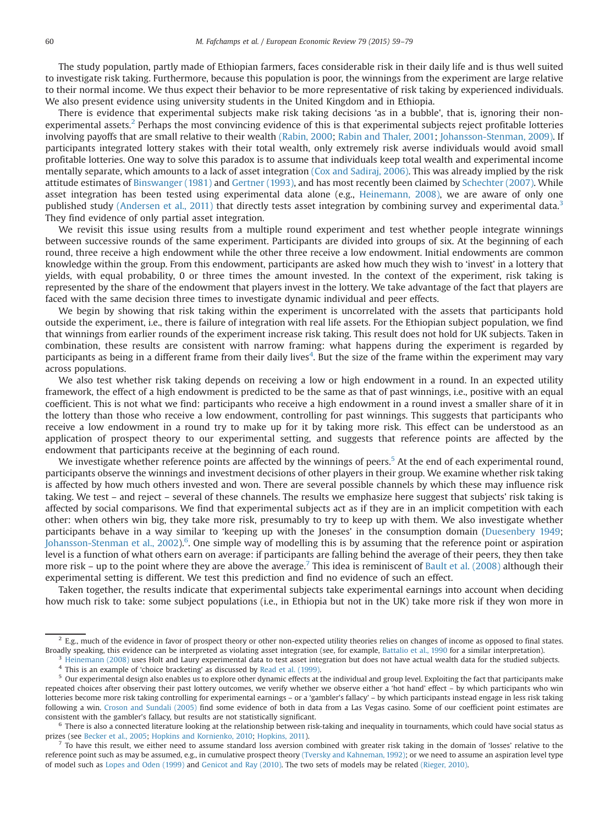The study population, partly made of Ethiopian farmers, faces considerable risk in their daily life and is thus well suited to investigate risk taking. Furthermore, because this population is poor, the winnings from the experiment are large relative to their normal income. We thus expect their behavior to be more representative of risk taking by experienced individuals. We also present evidence using university students in the United Kingdom and in Ethiopia.

There is evidence that experimental subjects make risk taking decisions 'as in a bubble', that is, ignoring their nonexperimental assets.<sup>2</sup> Perhaps the most convincing evidence of this is that experimental subjects reject profitable lotteries involving payoffs that are small relative to their wealth [\(Rabin, 2000](#page-19-0); [Rabin and Thaler, 2001](#page-19-0); [Johansson-Stenman, 2009\).](#page-19-0) If participants integrated lottery stakes with their total wealth, only extremely risk averse individuals would avoid small profitable lotteries. One way to solve this paradox is to assume that individuals keep total wealth and experimental income mentally separate, which amounts to a lack of asset integration [\(Cox and Sadiraj, 2006\).](#page-19-0) This was already implied by the risk attitude estimates of [Binswanger \(1981\)](#page-19-0) and [Gertner \(1993\),](#page-19-0) and has most recently been claimed by [Schechter \(2007\)](#page-20-0). While asset integration has been tested using experimental data alone (e.g., [Heinemann, 2008\),](#page-19-0) we are aware of only one published study [\(Andersen et al., 2011\)](#page-19-0) that directly tests asset integration by combining survey and experimental data.<sup>3</sup> They find evidence of only partial asset integration.

We revisit this issue using results from a multiple round experiment and test whether people integrate winnings between successive rounds of the same experiment. Participants are divided into groups of six. At the beginning of each round, three receive a high endowment while the other three receive a low endowment. Initial endowments are common knowledge within the group. From this endowment, participants are asked how much they wish to 'invest' in a lottery that yields, with equal probability, 0 or three times the amount invested. In the context of the experiment, risk taking is represented by the share of the endowment that players invest in the lottery. We take advantage of the fact that players are faced with the same decision three times to investigate dynamic individual and peer effects.

We begin by showing that risk taking within the experiment is uncorrelated with the assets that participants hold outside the experiment, i.e., there is failure of integration with real life assets. For the Ethiopian subject population, we find that winnings from earlier rounds of the experiment increase risk taking. This result does not hold for UK subjects. Taken in combination, these results are consistent with narrow framing: what happens during the experiment is regarded by participants as being in a different frame from their daily lives<sup>4</sup>. But the size of the frame within the experiment may vary across populations.

We also test whether risk taking depends on receiving a low or high endowment in a round. In an expected utility framework, the effect of a high endowment is predicted to be the same as that of past winnings, i.e., positive with an equal coefficient. This is not what we find: participants who receive a high endowment in a round invest a smaller share of it in the lottery than those who receive a low endowment, controlling for past winnings. This suggests that participants who receive a low endowment in a round try to make up for it by taking more risk. This effect can be understood as an application of prospect theory to our experimental setting, and suggests that reference points are affected by the endowment that participants receive at the beginning of each round.

We investigate whether reference points are affected by the winnings of peers.<sup>5</sup> At the end of each experimental round, participants observe the winnings and investment decisions of other players in their group. We examine whether risk taking is affected by how much others invested and won. There are several possible channels by which these may influence risk taking. We test – and reject – several of these channels. The results we emphasize here suggest that subjects' risk taking is affected by social comparisons. We find that experimental subjects act as if they are in an implicit competition with each other: when others win big, they take more risk, presumably to try to keep up with them. We also investigate whether participants behave in a way similar to 'keeping up with the Joneses' in the consumption domain ([Duesenbery 1949](#page-19-0); [Johansson-Stenman et al., 2002\)](#page-19-0).<sup>6</sup>. One simple way of modelling this is by assuming that the reference point or aspiration level is a function of what others earn on average: if participants are falling behind the average of their peers, they then take more risk – up to the point where they are above the average.<sup>7</sup> This idea is reminiscent of [Bault et al. \(2008\)](#page-19-0) although their experimental setting is different. We test this prediction and find no evidence of such an effect.

Taken together, the results indicate that experimental subjects take experimental earnings into account when deciding how much risk to take: some subject populations (i.e., in Ethiopia but not in the UK) take more risk if they won more in

 $2$  E.g., much of the evidence in favor of prospect theory or other non-expected utility theories relies on changes of income as opposed to final states. Broadly speaking, this evidence can be interpreted as violating asset integration (see, for example, [Battalio et al., 1990](#page-19-0) for a similar interpretation).

 $3$  [Heinemann \(2008\)](#page-19-0) uses Holt and Laury experimental data to test asset integration but does not have actual wealth data for the studied subjects. <sup>4</sup> This is an example of 'choice bracketing' as discussed by [Read et al. \(1999\).](#page-20-0)

<sup>&</sup>lt;sup>5</sup> Our experimental design also enables us to explore other dynamic effects at the individual and group level. Exploiting the fact that participants make repeated choices after observing their past lottery outcomes, we verify whether we observe either a 'hot hand' effect – by which participants who win lotteries become more risk taking controlling for experimental earnings – or a 'gambler's fallacy' – by which participants instead engage in less risk taking following a win. [Croson and Sundali \(2005\)](#page-19-0) find some evidence of both in data from a Las Vegas casino. Some of our coefficient point estimates are consistent with the gambler's fallacy, but results are not statistically significant.

 $6$  There is also a connected literature looking at the relationship between risk-taking and inequality in tournaments, which could have social status as prizes (see [Becker et al., 2005](#page-19-0); [Hopkins and Kornienko, 2010](#page-19-0); [Hopkins, 2011\)](#page-19-0).

 $7$  To have this result, we either need to assume standard loss aversion combined with greater risk taking in the domain of 'losses' relative to the reference point such as may be assumed, e.g., in cumulative prospect theory [\(Tversky and Kahneman, 1992\);](#page-20-0) or we need to assume an aspiration level type of model such as [Lopes and Oden \(1999\)](#page-19-0) and [Genicot and Ray \(2010\)](#page-19-0). The two sets of models may be related [\(Rieger, 2010\).](#page-20-0)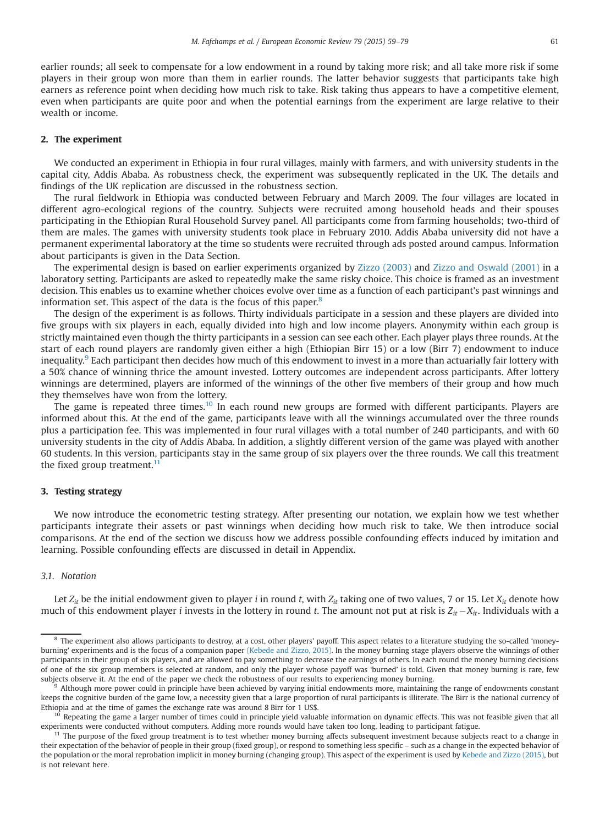earlier rounds; all seek to compensate for a low endowment in a round by taking more risk; and all take more risk if some players in their group won more than them in earlier rounds. The latter behavior suggests that participants take high earners as reference point when deciding how much risk to take. Risk taking thus appears to have a competitive element, even when participants are quite poor and when the potential earnings from the experiment are large relative to their wealth or income.

## 2. The experiment

We conducted an experiment in Ethiopia in four rural villages, mainly with farmers, and with university students in the capital city, Addis Ababa. As robustness check, the experiment was subsequently replicated in the UK. The details and findings of the UK replication are discussed in the robustness section.

The rural fieldwork in Ethiopia was conducted between February and March 2009. The four villages are located in different agro-ecological regions of the country. Subjects were recruited among household heads and their spouses participating in the Ethiopian Rural Household Survey panel. All participants come from farming households; two-third of them are males. The games with university students took place in February 2010. Addis Ababa university did not have a permanent experimental laboratory at the time so students were recruited through ads posted around campus. Information about participants is given in the Data Section.

The experimental design is based on earlier experiments organized by [Zizzo \(2003\)](#page-20-0) and [Zizzo and Oswald \(2001\)](#page-20-0) in a laboratory setting. Participants are asked to repeatedly make the same risky choice. This choice is framed as an investment decision. This enables us to examine whether choices evolve over time as a function of each participant's past winnings and information set. This aspect of the data is the focus of this paper. $8$ 

The design of the experiment is as follows. Thirty individuals participate in a session and these players are divided into five groups with six players in each, equally divided into high and low income players. Anonymity within each group is strictly maintained even though the thirty participants in a session can see each other. Each player plays three rounds. At the start of each round players are randomly given either a high (Ethiopian Birr 15) or a low (Birr 7) endowment to induce inequality.<sup>9</sup> Each participant then decides how much of this endowment to invest in a more than actuarially fair lottery with a 50% chance of winning thrice the amount invested. Lottery outcomes are independent across participants. After lottery winnings are determined, players are informed of the winnings of the other five members of their group and how much they themselves have won from the lottery.

The game is repeated three times.<sup>10</sup> In each round new groups are formed with different participants. Players are informed about this. At the end of the game, participants leave with all the winnings accumulated over the three rounds plus a participation fee. This was implemented in four rural villages with a total number of 240 participants, and with 60 university students in the city of Addis Ababa. In addition, a slightly different version of the game was played with another 60 students. In this version, participants stay in the same group of six players over the three rounds. We call this treatment the fixed group treatment. $11$ 

# 3. Testing strategy

We now introduce the econometric testing strategy. After presenting our notation, we explain how we test whether participants integrate their assets or past winnings when deciding how much risk to take. We then introduce social comparisons. At the end of the section we discuss how we address possible confounding effects induced by imitation and learning. Possible confounding effects are discussed in detail in Appendix.

#### 3.1. Notation

Let  $Z_{it}$  be the initial endowment given to player i in round t, with  $Z_{it}$  taking one of two values, 7 or 15. Let  $X_{it}$  denote how much of this endowment player  $i$  invests in the lottery in round  $t$ . The amount not put at risk is  $Z_{it} - X_{it}$ . Individuals with a

<sup>&</sup>lt;sup>8</sup> The experiment also allows participants to destroy, at a cost, other players' payoff. This aspect relates to a literature studying the so-called 'moneyburning' experiments and is the focus of a companion paper [\(Kebede and Zizzo, 2015\)](#page-19-0). In the money burning stage players observe the winnings of other participants in their group of six players, and are allowed to pay something to decrease the earnings of others. In each round the money burning decisions of one of the six group members is selected at random, and only the player whose payoff was 'burned' is told. Given that money burning is rare, few subjects observe it. At the end of the paper we check the robustness of our results to experiencing money burning.

<sup>9</sup> Although more power could in principle have been achieved by varying initial endowments more, maintaining the range of endowments constant keeps the cognitive burden of the game low, a necessity given that a large proportion of rural participants is illiterate. The Birr is the national currency of Ethiopia and at the time of games the exchange rate was around 8 Birr for 1 US\$.

<sup>&</sup>lt;sup>10</sup> Repeating the game a larger number of times could in principle yield valuable information on dynamic effects. This was not feasible given that all experiments were conducted without computers. Adding more rounds would have taken too long, leading to participant fatigue.

<sup>&</sup>lt;sup>11</sup> The purpose of the fixed group treatment is to test whether money burning affects subsequent investment because subjects react to a change in their expectation of the behavior of people in their group (fixed group), or respond to something less specific – such as a change in the expected behavior of the population or the moral reprobation implicit in money burning (changing group). This aspect of the experiment is used by [Kebede and Zizzo \(2015\),](#page-19-0) but is not relevant here.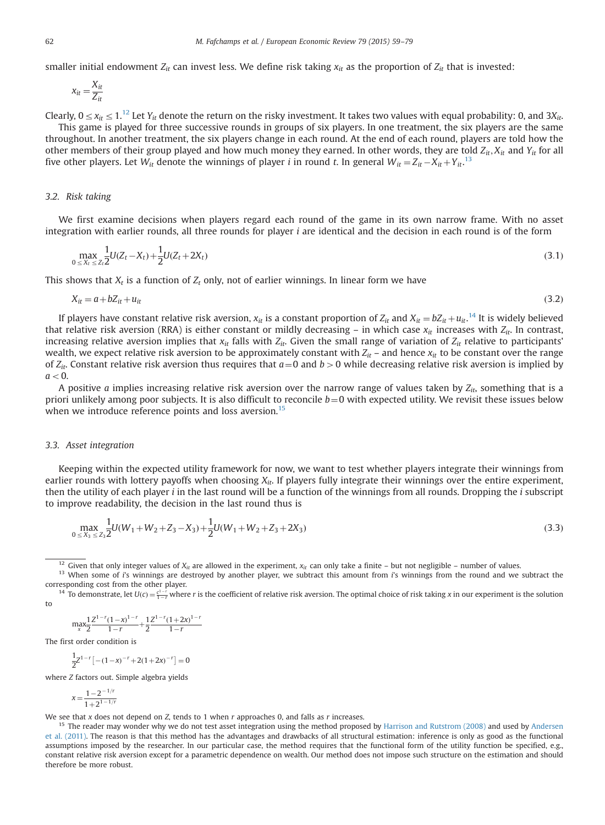<span id="page-3-0"></span>smaller initial endowment  $Z_{it}$  can invest less. We define risk taking  $x_{it}$  as the proportion of  $Z_{it}$  that is invested:

$$
x_{it} = \frac{X_{it}}{Z_{it}}
$$

Clearly,  $0 \le x_{it} \le 1$ .<sup>12</sup> Let Y<sub>it</sub> denote the return on the risky investment. It takes two values with equal probability: 0, and 3X<sub>it</sub>.

This game is played for three successive rounds in groups of six players. In one treatment, the six players are the same throughout. In another treatment, the six players change in each round. At the end of each round, players are told how the other members of their group played and how much money they earned. In other words, they are told  $Z_{it}$ ,  $X_{it}$  and  $Y_{it}$  for all five other players. Let  $W_{it}$  denote the winnings of player *i* in round *t*. In general  $W_{it} = Z_{it} - X_{it} + Y_{it}$ .<sup>13</sup>

## 3.2. Risk taking

We first examine decisions when players regard each round of the game in its own narrow frame. With no asset integration with earlier rounds, all three rounds for player i are identical and the decision in each round is of the form

$$
\max_{0 \le X_t \le Z_t} \frac{1}{2} U(Z_t - X_t) + \frac{1}{2} U(Z_t + 2X_t)
$$
\n(3.1)

This shows that  $X_t$  is a function of  $Z_t$  only, not of earlier winnings. In linear form we have

$$
X_{it} = a + bZ_{it} + u_{it} \tag{3.2}
$$

If players have constant relative risk aversion,  $x_{it}$  is a constant proportion of  $Z_{it}$  and  $X_{it} = bZ_{it} + u_{it}$ .<sup>14</sup> It is widely believed that relative risk aversion (RRA) is either constant or mildly decreasing – in which case  $x_{it}$  increases with  $Z_{it}$ . In contrast, increasing relative aversion implies that  $x_{it}$  falls with  $Z_{it}$ . Given the small range of variation of  $Z_{it}$  relative to participants' wealth, we expect relative risk aversion to be approximately constant with  $Z_{it}$  – and hence  $x_{it}$  to be constant over the range of  $Z_{it}$ . Constant relative risk aversion thus requires that  $a=0$  and  $b>0$  while decreasing relative risk aversion is implied by  $a < 0$ .

A positive a implies increasing relative risk aversion over the narrow range of values taken by  $Z_{it}$ , something that is a priori unlikely among poor subjects. It is also difficult to reconcile  $b=0$  with expected utility. We revisit these issues below when we introduce reference points and loss aversion.<sup>15</sup>

#### 3.3. Asset integration

Keeping within the expected utility framework for now, we want to test whether players integrate their winnings from earlier rounds with lottery payoffs when choosing  $X_{it}$ . If players fully integrate their winnings over the entire experiment, then the utility of each player  $i$  in the last round will be a function of the winnings from all rounds. Dropping the  $i$  subscript to improve readability, the decision in the last round thus is

$$
\max_{0 \le X_3 \le Z_3} \frac{1}{2} U(W_1 + W_2 + Z_3 - X_3) + \frac{1}{2} U(W_1 + W_2 + Z_3 + 2X_3)
$$
\n(3.3)

<sup>12</sup> Given that only integer values of  $X_{it}$  are allowed in the experiment,  $x_{it}$  can only take a finite – but not negligible – number of values.<br><sup>13</sup> When some of *i*'s winnings are destroyed by another player, we subt corresponding cost from the other player.

<sup>14</sup> To demonstrate, let  $U(c) = \frac{c^{1-r}}{1-r}$  where r is the coefficient of relative risk aversion. The optimal choice of risk taking x in our experiment is the solution to

$$
\max_{x} \frac{1}{2} \frac{Z^{1-r} (1-x)^{1-r}}{1-r} + \frac{1}{2} \frac{Z^{1-r} (1+2x)^{1-r}}{1-r}
$$

The first order condition is

$$
\frac{1}{2}Z^{1-r}\big[-(1-x)^{-r}+2(1+2x)^{-r}\big]=0
$$

where Z factors out. Simple algebra yields

$$
x = \frac{1 - 2^{-1/r}}{1 + 2^{1 - 1/r}}
$$

We see that  $x$  does not depend on  $Z$ , tends to 1 when  $r$  approaches 0, and falls as  $r$  increases.

<sup>15</sup> The reader may wonder why we do not test asset integration using the method proposed by [Harrison and Rutstrom \(2008\)](#page-19-0) and used by [Andersen](#page-19-0) [et al. \(2011\).](#page-19-0) The reason is that this method has the advantages and drawbacks of all structural estimation: inference is only as good as the functional assumptions imposed by the researcher. In our particular case, the method requires that the functional form of the utility function be specified, e.g., constant relative risk aversion except for a parametric dependence on wealth. Our method does not impose such structure on the estimation and should therefore be more robust.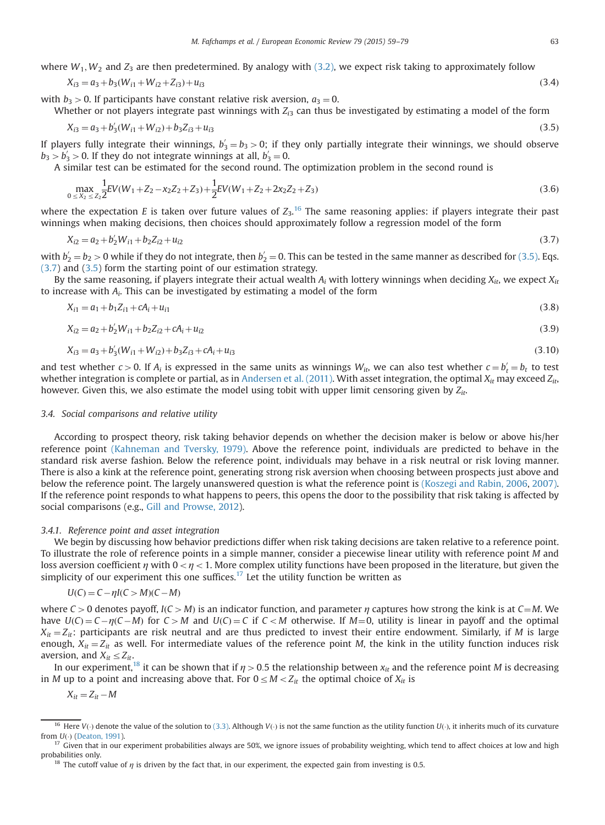<span id="page-4-0"></span>where  $W_1, W_2$  and  $Z_3$  are then predetermined. By analogy with [\(3.2\)](#page-3-0), we expect risk taking to approximately follow

$$
X_{i3} = a_3 + b_3(W_{i1} + W_{i2} + Z_{i3}) + u_{i3}
$$
\n(3.4)

with  $b_3 > 0$ . If participants have constant relative risk aversion,  $a_3 = 0$ .

Whether or not players integrate past winnings with  $Z_{i3}$  can thus be investigated by estimating a model of the form

$$
X_{i3} = a_3 + b'_3(W_{i1} + W_{i2}) + b_3 Z_{i3} + u_{i3}
$$
\n
$$
(3.5)
$$

If players fully integrate their winnings,  $b'_3 = b_3 > 0$ ; if they only partially integrate their winnings, we should observe  $b_3 > b_3' > 0$ . If they do not integrate winnings at all,  $b_3' = 0$ .

A similar test can be estimated for the second round. The optimization problem in the second round is

$$
\max_{0 \le X_2 \le Z_2} \frac{1}{2} EV(W_1 + Z_2 - x_2 Z_2 + Z_3) + \frac{1}{2} EV(W_1 + Z_2 + 2x_2 Z_2 + Z_3)
$$
\n(3.6)

where the expectation E is taken over future values of  $Z_3$ .<sup>16</sup> The same reasoning applies: if players integrate their past winnings when making decisions, then choices should approximately follow a regression model of the form

$$
X_{i2} = a_2 + b'_2 W_{i1} + b_2 Z_{i2} + u_{i2} \tag{3.7}
$$

with  $b_2' = b_2 > 0$  while if they do not integrate, then  $b_2' = 0$ . This can be tested in the same manner as described for (3.5). Eqs. (3.7) and (3.5) form the starting point of our estimation strategy.

By the same reasoning, if players integrate their actual wealth  $A_i$  with lottery winnings when deciding  $X_{i}$ , we expect  $X_{i}$ to increase with  $A_i$ . This can be investigated by estimating a model of the form

$$
X_{i1} = a_1 + b_1 Z_{i1} + cA_i + u_{i1} \tag{3.8}
$$

$$
X_{i2} = a_2 + b'_2 W_{i1} + b_2 Z_{i2} + cA_i + u_{i2}
$$
\n(3.9)

$$
X_{i3} = a_3 + b'_3(W_{i1} + W_{i2}) + b_3 Z_{i3} + cA_i + u_{i3}
$$
\n(3.10)

and test whether  $c > 0$ . If  $A_i$  is expressed in the same units as winnings  $W_{it}$ , we can also test whether  $c = b'_t = b_t$  to test whether integration is complete or partial, as in [Andersen et al. \(2011\)](#page-19-0). With asset integration, the optimal  $X_{it}$  may exceed  $Z_{it}$ , however. Given this, we also estimate the model using tobit with upper limit censoring given by  $Z_{it}$ .

# 3.4. Social comparisons and relative utility

According to prospect theory, risk taking behavior depends on whether the decision maker is below or above his/her reference point [\(Kahneman and Tversky, 1979\)](#page-19-0). Above the reference point, individuals are predicted to behave in the standard risk averse fashion. Below the reference point, individuals may behave in a risk neutral or risk loving manner. There is also a kink at the reference point, generating strong risk aversion when choosing between prospects just above and below the reference point. The largely unanswered question is what the reference point is [\(Koszegi and Rabin, 2006,](#page-19-0) [2007\)](#page-19-0). If the reference point responds to what happens to peers, this opens the door to the possibility that risk taking is affected by social comparisons (e.g., [Gill and Prowse, 2012](#page-19-0)).

## 3.4.1. Reference point and asset integration

We begin by discussing how behavior predictions differ when risk taking decisions are taken relative to a reference point. To illustrate the role of reference points in a simple manner, consider a piecewise linear utility with reference point M and loss aversion coefficient  $\eta$  with  $0 < \eta < 1$ . More complex utility functions have been proposed in the literature, but given the simplicity of our experiment this one suffices.<sup>17</sup> Let the utility function be written as

$$
U(C) = C - \eta I(C > M)(C - M)
$$

where C > 0 denotes payoff,  $I(C>M)$  is an indicator function, and parameter  $\eta$  captures how strong the kink is at C=M. We have  $U(C) = C - \eta(C-M)$  for  $C > M$  and  $U(C) = C$  if  $C < M$  otherwise. If  $M=0$ , utility is linear in payoff and the optimal  $X_{it} = Z_{it}$ : participants are risk neutral and are thus predicted to invest their entire endowment. Similarly, if M is large enough,  $X_{it} = Z_{it}$  as well. For intermediate values of the reference point M, the kink in the utility function induces risk aversion, and  $X_{it} \leq Z_{it}$ .

In our experiment,<sup>18</sup> it can be shown that if  $\eta > 0.5$  the relationship between  $x_{it}$  and the reference point M is decreasing in M up to a point and increasing above that. For  $0 \leq M \lt Z_{it}$  the optimal choice of  $X_{it}$  is

 $X_{it} = Z_{it} - M$ 

<sup>&</sup>lt;sup>16</sup> Here  $V(\cdot)$  denote the value of the solution to [\(3.3\).](#page-3-0) Although  $V(\cdot)$  is not the same function as the utility function  $U(\cdot)$ , it inherits much of its curvature from  $U(\cdot)$  (Deaton, 1991).

<sup>&</sup>lt;sup>17</sup> Given that in our experiment probabilities always are 50%, we ignore issues of probability weighting, which tend to affect choices at low and high probabilities only.

<sup>&</sup>lt;sup>18</sup> The cutoff value of  $\eta$  is driven by the fact that, in our experiment, the expected gain from investing is 0.5.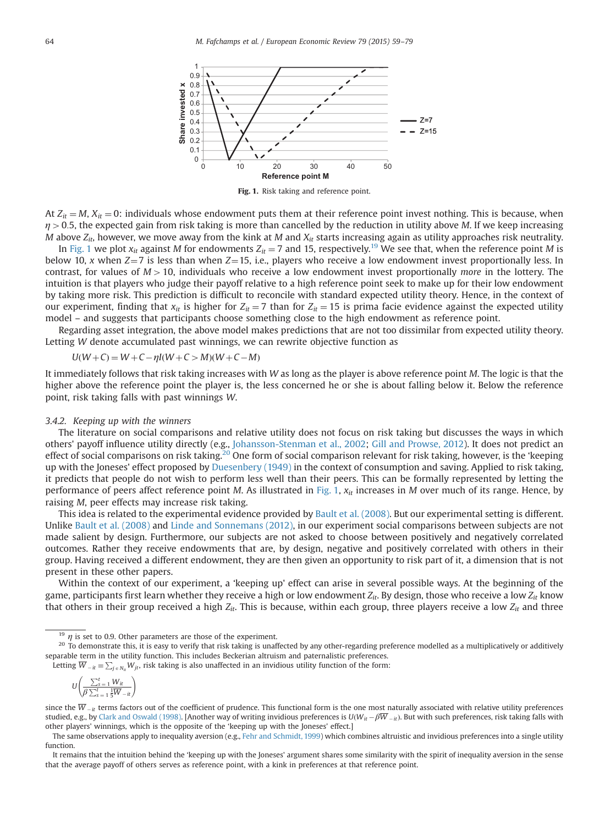<span id="page-5-0"></span>

Fig. 1. Risk taking and reference point.

At  $Z_{it} = M$ ,  $X_{it} = 0$ : individuals whose endowment puts them at their reference point invest nothing. This is because, when  $\eta$  > 0.5, the expected gain from risk taking is more than cancelled by the reduction in utility above M. If we keep increasing M above  $Z_{it}$ , however, we move away from the kink at M and  $X_{it}$  starts increasing again as utility approaches risk neutrality.

In Fig. 1 we plot  $x_{it}$  against M for endowments  $Z_{it} = 7$  and 15, respectively.<sup>19</sup> We see that, when the reference point M is below 10, x when  $Z=7$  is less than when  $Z=15$ , i.e., players who receive a low endowment invest proportionally less. In contrast, for values of  $M > 10$ , individuals who receive a low endowment invest proportionally more in the lottery. The intuition is that players who judge their payoff relative to a high reference point seek to make up for their low endowment by taking more risk. This prediction is difficult to reconcile with standard expected utility theory. Hence, in the context of our experiment, finding that  $x_{it}$  is higher for  $Z_{it} = 7$  than for  $Z_{it} = 15$  is prima facie evidence against the expected utility model – and suggests that participants choose something close to the high endowment as reference point.

Regarding asset integration, the above model makes predictions that are not too dissimilar from expected utility theory. Letting W denote accumulated past winnings, we can rewrite objective function as

 $U(W+C) = W + C - \eta I(W+C > M)(W+C-M)$ 

It immediately follows that risk taking increases with W as long as the player is above reference point M. The logic is that the higher above the reference point the player is, the less concerned he or she is about falling below it. Below the reference point, risk taking falls with past winnings W.

#### 3.4.2. Keeping up with the winners

The literature on social comparisons and relative utility does not focus on risk taking but discusses the ways in which others' payoff influence utility directly (e.g., [Johansson-Stenman et al., 2002](#page-19-0); [Gill and Prowse, 2012](#page-19-0)). It does not predict an effect of social comparisons on risk taking.<sup>20</sup> One form of social comparison relevant for risk taking, however, is the 'keeping up with the Joneses' effect proposed by [Duesenbery \(1949\)](#page-19-0) in the context of consumption and saving. Applied to risk taking, it predicts that people do not wish to perform less well than their peers. This can be formally represented by letting the performance of peers affect reference point M. As illustrated in Fig. 1,  $x_{it}$  increases in M over much of its range. Hence, by raising M, peer effects may increase risk taking.

This idea is related to the experimental evidence provided by [Bault et al. \(2008\).](#page-19-0) But our experimental setting is different. Unlike [Bault et al. \(2008\)](#page-19-0) and [Linde and Sonnemans \(2012\),](#page-19-0) in our experiment social comparisons between subjects are not made salient by design. Furthermore, our subjects are not asked to choose between positively and negatively correlated outcomes. Rather they receive endowments that are, by design, negative and positively correlated with others in their group. Having received a different endowment, they are then given an opportunity to risk part of it, a dimension that is not present in these other papers.

Within the context of our experiment, a 'keeping up' effect can arise in several possible ways. At the beginning of the game, participants first learn whether they receive a high or low endowment  $Z_{it}$ . By design, those who receive a low  $Z_{it}$  know that others in their group received a high  $Z_{it}$ . This is because, within each group, three players receive a low  $Z_{it}$  and three

Letting  $\overline{W}_{-it}$   $\equiv$   $\sum_{j \in N_{lt}} W_{jt}$ , risk taking is also unaffected in an invidious utility function of the form:

$$
U\left(\frac{\sum_{s=1}^{t}W_{it}}{\beta\sum_{s=1}^{t}\frac{1}{5}\overline{W}_{-it}}\right)
$$

 $\frac{19}{19}$  *n* is set to 0.9. Other parameters are those of the experiment.

 $^{20}$  To demonstrate this, it is easy to verify that risk taking is unaffected by any other-regarding preference modelled as a multiplicatively or additively separable term in the utility function. This includes Beckerian altruism and paternalistic preferences.

since the W  $_{-it}$  terms factors out of the coefficient of prudence. This functional form is the one most naturally associated with relative utility preferences studied, e.g., by [Clark and Oswald \(1998\)](#page-19-0). [Another way of writing invidious preferences is  $U(W_{it} - \beta\overline{W}_{-it})$ . But with such preferences, risk taking falls with other players' winnings, which is the opposite of the 'keeping up with the Joneses' effect.]

The same observations apply to inequality aversion (e.g., [Fehr and Schmidt, 1999](#page-19-0)) which combines altruistic and invidious preferences into a single utility function.

It remains that the intuition behind the 'keeping up with the Joneses' argument shares some similarity with the spirit of inequality aversion in the sense that the average payoff of others serves as reference point, with a kink in preferences at that reference point.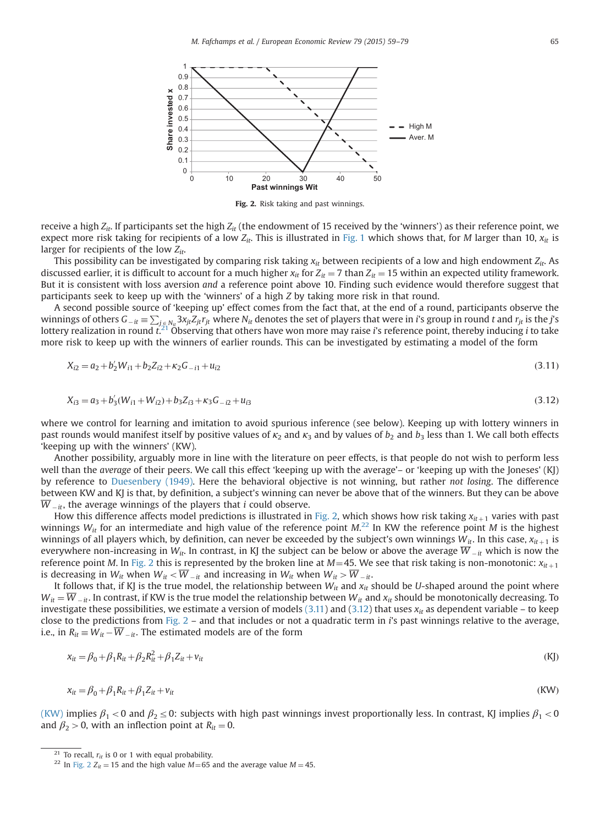<span id="page-6-0"></span>

Fig. 2. Risk taking and past winnings.

receive a high  $Z_{it}$ . If participants set the high  $Z_{it}$  (the endowment of 15 received by the 'winners') as their reference point, we expect more risk taking for recipients of a low  $Z_{it}$ . This is illustrated in [Fig. 1](#page-5-0) which shows that, for M larger than 10,  $x_{it}$  is larger for recipients of the low  $Z_{it}$ .

This possibility can be investigated by comparing risk taking  $x_{it}$  between recipients of a low and high endowment  $Z_{it}$ . As discussed earlier, it is difficult to account for a much higher  $x_{it}$  for  $Z_{it} = 7$  than  $Z_{it} = 15$  within an expected utility framework. But it is consistent with loss aversion and a reference point above 10. Finding such evidence would therefore suggest that participants seek to keep up with the 'winners' of a high Z by taking more risk in that round.

A second possible source of 'keeping up' effect comes from the fact that, at the end of a round, participants observe the winnings of others  $G_{-it} \equiv \sum_{j\in\Lambda_{it}} 3x_{jt}Z_{jt}r_{jt}$  where  $N_{it}$  denotes the set of players that were in *i*'s group in round *t* and  $r_{jt}$  is the *j*'s lottery realization in round t.<sup>21</sup> Observing that others have won more may raise i's reference point, thereby inducing i to take more risk to keep up with the winners of earlier rounds. This can be investigated by estimating a model of the form

$$
X_{i2} = a_2 + b'_2 W_{i1} + b_2 Z_{i2} + \kappa_2 G_{-i1} + u_{i2}
$$
\n(3.11)

$$
X_{i3} = a_3 + b'_3(W_{i1} + W_{i2}) + b_3 Z_{i3} + \kappa_3 G_{-i2} + u_{i3}
$$
\n(3.12)

where we control for learning and imitation to avoid spurious inference (see below). Keeping up with lottery winners in past rounds would manifest itself by positive values of  $\kappa_2$  and  $\kappa_3$  and by values of  $b_2$  and  $b_3$  less than 1. We call both effects 'keeping up with the winners' (KW).

Another possibility, arguably more in line with the literature on peer effects, is that people do not wish to perform less well than the average of their peers. We call this effect 'keeping up with the average'– or 'keeping up with the Joneses' (KJ) by reference to [Duesenbery \(1949\).](#page-19-0) Here the behavioral objective is not winning, but rather not losing. The difference between KW and KJ is that, by definition, a subject's winning can never be above that of the winners. But they can be above  $W_{\text{--it}}$ , the average winnings of the players that *i* could observe.

How this difference affects model predictions is illustrated in Fig. 2, which shows how risk taking  $x_{it+1}$  varies with past winnings  $W_{it}$  for an intermediate and high value of the reference point M.<sup>22</sup> In KW the reference point M is the highest winnings of all players which, by definition, can never be exceeded by the subject's own winnings  $W_{it}$ . In this case,  $x_{it+1}$  is everywhere non-increasing in  $W_{it}$ . In contrast, in KJ the subject can be below or above the average  $W_{-it}$  which is now the reference point M. In Fig. 2 this is represented by the broken line at  $M=45$ . We see that risk taking is non-monotonic:  $x_{it+1}$ is decreasing in  $W_{it}$  when  $W_{it} < W_{-it}$  and increasing in  $W_{it}$  when  $W_{it} > W_{-it}$ .

It follows that, if KJ is the true model, the relationship between  $W_{it}$  and  $x_{it}$  should be U-shaped around the point where  $W_{it}$  = W <sub>-it</sub>. In contrast, if KW is the true model the relationship between W<sub>it</sub> and  $x_{it}$  should be monotonically decreasing. To investigate these possibilities, we estimate a version of models  $(3.11)$  and  $(3.12)$  that uses  $x_{it}$  as dependent variable – to keep close to the predictions from Fig. 2 – and that includes or not a quadratic term in i's past winnings relative to the average, i.e., in  $R_{it} \equiv W_{it} - W_{-it}$ . The estimated models are of the form

$$
x_{it} = \beta_0 + \beta_1 R_{it} + \beta_2 R_{it}^2 + \beta_1 Z_{it} + v_{it}
$$
(KJ)

$$
x_{it} = \beta_0 + \beta_1 R_{it} + \beta_1 Z_{it} + v_{it}
$$
\n(KW)

(KW) implies  $\beta_1$  < 0 and  $\beta_2$  ≤ 0: subjects with high past winnings invest proportionally less. In contrast, KJ implies  $\beta_1$  < 0 and  $\beta_2$  > 0, with an inflection point at  $R_{it} = 0$ .

<sup>&</sup>lt;sup>21</sup> To recall, r<sub>it</sub> is 0 or 1 with equal probability.<br><sup>22</sup> In Fig. 2  $Z_{it} = 15$  and the high value M = 65 and the average value M = 45.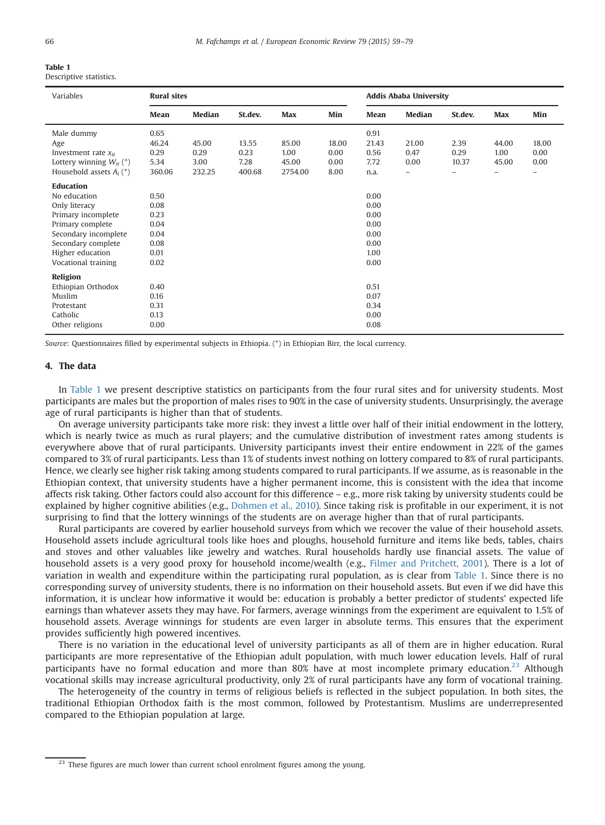#### Table 1 Descriptive statistics.

| Variables                                                                                                                                                                            |                                                              | <b>Rural sites</b>              |                                 |                                   |                               |                                                              | <b>Addis Ababa University</b> |                       |                             |                                                   |  |
|--------------------------------------------------------------------------------------------------------------------------------------------------------------------------------------|--------------------------------------------------------------|---------------------------------|---------------------------------|-----------------------------------|-------------------------------|--------------------------------------------------------------|-------------------------------|-----------------------|-----------------------------|---------------------------------------------------|--|
|                                                                                                                                                                                      | Mean                                                         | <b>Median</b>                   | St.dev.                         | Max                               | Min                           | Mean                                                         | <b>Median</b>                 | St.dev.               | <b>Max</b>                  | Min                                               |  |
| Male dummy<br>Age<br>Investment rate $x_{it}$<br>Lottery winning $W_{it}$ (*)<br>Household assets $A_i$ (*)                                                                          | 0.65<br>46.24<br>0.29<br>5.34<br>360.06                      | 45.00<br>0.29<br>3.00<br>232.25 | 13.55<br>0.23<br>7.28<br>400.68 | 85.00<br>1.00<br>45.00<br>2754.00 | 18.00<br>0.00<br>0.00<br>8.00 | 0.91<br>21.43<br>0.56<br>7.72<br>n.a.                        | 21.00<br>0.47<br>0.00<br>-    | 2.39<br>0.29<br>10.37 | 44.00<br>1.00<br>45.00<br>- | 18.00<br>0.00<br>0.00<br>$\overline{\phantom{0}}$ |  |
| <b>Education</b><br>No education<br>Only literacy<br>Primary incomplete<br>Primary complete<br>Secondary incomplete<br>Secondary complete<br>Higher education<br>Vocational training | 0.50<br>0.08<br>0.23<br>0.04<br>0.04<br>0.08<br>0.01<br>0.02 |                                 |                                 |                                   |                               | 0.00<br>0.00<br>0.00<br>0.00<br>0.00<br>0.00<br>1.00<br>0.00 |                               |                       |                             |                                                   |  |
| Religion<br>Ethiopian Orthodox<br>Muslim<br>Protestant<br>Catholic<br>Other religions                                                                                                | 0.40<br>0.16<br>0.31<br>0.13<br>0.00                         |                                 |                                 |                                   |                               | 0.51<br>0.07<br>0.34<br>0.00<br>0.08                         |                               |                       |                             |                                                   |  |

Source: Questionnaires filled by experimental subjects in Ethiopia. (\*) in Ethiopian Birr, the local currency.

# 4. The data

In Table 1 we present descriptive statistics on participants from the four rural sites and for university students. Most participants are males but the proportion of males rises to 90% in the case of university students. Unsurprisingly, the average age of rural participants is higher than that of students.

On average university participants take more risk: they invest a little over half of their initial endowment in the lottery, which is nearly twice as much as rural players; and the cumulative distribution of investment rates among students is everywhere above that of rural participants. University participants invest their entire endowment in 22% of the games compared to 3% of rural participants. Less than 1% of students invest nothing on lottery compared to 8% of rural participants. Hence, we clearly see higher risk taking among students compared to rural participants. If we assume, as is reasonable in the Ethiopian context, that university students have a higher permanent income, this is consistent with the idea that income affects risk taking. Other factors could also account for this difference – e.g., more risk taking by university students could be explained by higher cognitive abilities (e.g., [Dohmen et al., 2010](#page-19-0)). Since taking risk is profitable in our experiment, it is not surprising to find that the lottery winnings of the students are on average higher than that of rural participants.

Rural participants are covered by earlier household surveys from which we recover the value of their household assets. Household assets include agricultural tools like hoes and ploughs, household furniture and items like beds, tables, chairs and stoves and other valuables like jewelry and watches. Rural households hardly use financial assets. The value of household assets is a very good proxy for household income/wealth (e.g., [Filmer and Pritchett, 2001](#page-19-0)). There is a lot of variation in wealth and expenditure within the participating rural population, as is clear from Table 1. Since there is no corresponding survey of university students, there is no information on their household assets. But even if we did have this information, it is unclear how informative it would be: education is probably a better predictor of students' expected life earnings than whatever assets they may have. For farmers, average winnings from the experiment are equivalent to 1.5% of household assets. Average winnings for students are even larger in absolute terms. This ensures that the experiment provides sufficiently high powered incentives.

There is no variation in the educational level of university participants as all of them are in higher education. Rural participants are more representative of the Ethiopian adult population, with much lower education levels. Half of rural participants have no formal education and more than 80% have at most incomplete primary education.<sup>23</sup> Although vocational skills may increase agricultural productivity, only 2% of rural participants have any form of vocational training.

The heterogeneity of the country in terms of religious beliefs is reflected in the subject population. In both sites, the traditional Ethiopian Orthodox faith is the most common, followed by Protestantism. Muslims are underrepresented compared to the Ethiopian population at large.

<sup>&</sup>lt;sup>23</sup> These figures are much lower than current school enrolment figures among the young.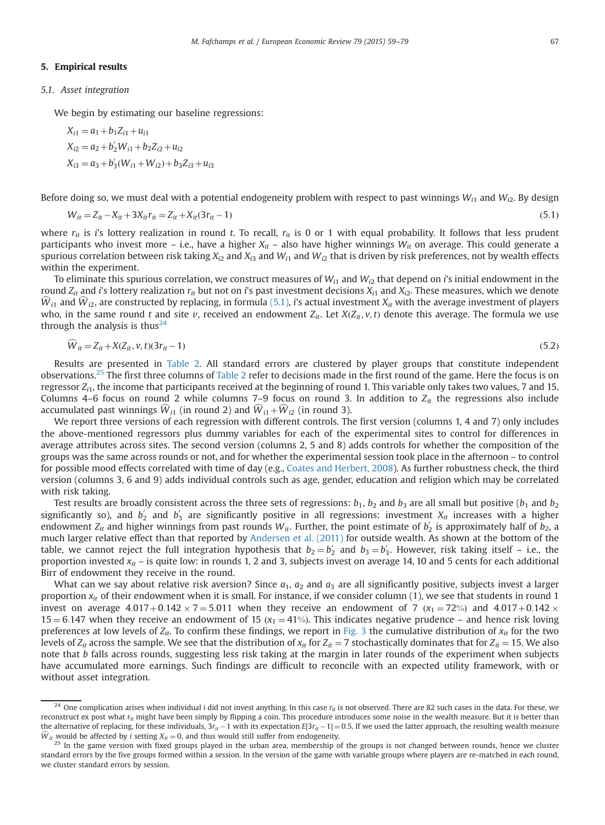# 5. Empirical results

#### 5.1. Asset integration

We begin by estimating our baseline regressions:

$$
X_{i1} = a_1 + b_1 Z_{i1} + u_{i1}
$$
  
\n
$$
X_{i2} = a_2 + b'_2 W_{i1} + b_2 Z_{i2} + u_{i2}
$$
  
\n
$$
X_{i3} = a_3 + b'_3 (W_{i1} + W_{i2}) + b_3 Z_{i3} + u_{i3}
$$

Before doing so, we must deal with a potential endogeneity problem with respect to past winnings  $W_{i1}$  and  $W_{i2}$ . By design

$$
W_{it} = Z_{it} - X_{it} + 3X_{it}r_{it} = Z_{it} + X_{it}(3r_{it} - 1)
$$
\n(5.1)

where  $r_{it}$  is i's lottery realization in round t. To recall,  $r_{it}$  is 0 or 1 with equal probability. It follows that less prudent participants who invest more – i.e., have a higher  $X_{it}$  – also have higher winnings  $W_{it}$  on average. This could generate a spurious correlation between risk taking  $X_{i2}$  and  $X_{i3}$  and  $W_{i1}$  and  $W_{i2}$  that is driven by risk preferences, not by wealth effects within the experiment.

To eliminate this spurious correlation, we construct measures of  $W_{i1}$  and  $W_{i2}$  that depend on *i*'s initial endowment in the round  $Z_{it}$  and i's lottery realization  $r_{it}$  but not on i's past investment decisions  $X_{i1}$  and  $X_{i2}$ . These measures, which we denote  $W_{i1}$  and  $W_{i2}$ , are constructed by replacing, in formula (5.1), i's actual investment  $X_{it}$  with the average investment of players who, in the same round t and site v, received an endowment  $Z_{it}$ . Let  $X(Z_{it}, v, t)$  denote this average. The formula we use through the analysis is thus $^{24}$ 

$$
W_{it} = Z_{it} + X(Z_{it}, v, t)(3r_{it} - 1)
$$
\n(5.2)

Results are presented in [Table 2.](#page-9-0) All standard errors are clustered by player groups that constitute independent observations.25 The first three columns of [Table 2](#page-9-0) refer to decisions made in the first round of the game. Here the focus is on regressor  $Z_{i1}$ , the income that participants received at the beginning of round 1. This variable only takes two values, 7 and 15. Columns 4–6 focus on round 2 while columns 7–9 focus on round 3. In addition to  $Z_{it}$  the regressions also include accumulated past winnings  $W_{i1}$  (in round 2) and  $W_{i1}+W_{i2}$  (in round 3).

We report three versions of each regression with different controls. The first version (columns 1, 4 and 7) only includes the above-mentioned regressors plus dummy variables for each of the experimental sites to control for differences in average attributes across sites. The second version (columns 2, 5 and 8) adds controls for whether the composition of the groups was the same across rounds or not, and for whether the experimental session took place in the afternoon – to control for possible mood effects correlated with time of day (e.g., [Coates and Herbert, 2008\)](#page-19-0). As further robustness check, the third version (columns 3, 6 and 9) adds individual controls such as age, gender, education and religion which may be correlated with risk taking.

Test results are broadly consistent across the three sets of regressions:  $b_1$ ,  $b_2$  and  $b_3$  are all small but positive ( $b_1$  and  $b_2$ ) significantly so), and  $b_2'$  and  $b_3'$  are significantly positive in all regressions: investment  $X_{it}$  increases with a higher endowment  $Z_{it}$  and higher winnings from past rounds  $W_{it}$ . Further, the point estimate of  $b_2^\prime$  is approximately half of  $b_2$ , a much larger relative effect than that reported by [Andersen et al. \(2011\)](#page-19-0) for outside wealth. As shown at the bottom of the table, we cannot reject the full integration hypothesis that  $b_2=b_2$  and  $b_3=b_3$ . However, risk taking itself – i.e., the proportion invested  $x_{it}$  – is quite low: in rounds 1, 2 and 3, subjects invest on average 14, 10 and 5 cents for each additional Birr of endowment they receive in the round.

What can we say about relative risk aversion? Since  $a_1$ ,  $a_2$  and  $a_3$  are all significantly positive, subjects invest a larger proportion  $x_{it}$  of their endowment when it is small. For instance, if we consider column (1), we see that students in round 1 invest on average  $4.017+0.142 \times 7=5.011$  when they receive an endowment of 7  $(x_1 = 72\%)$  and  $4.017+0.142 \times$ 15 = 6.147 when they receive an endowment of 15  $(x_1 = 41\%)$ . This indicates negative prudence – and hence risk loving preferences at low levels of  $Z_{it}$ . To confirm these findings, we report in [Fig. 3](#page-10-0) the cumulative distribution of  $x_{it}$  for the two levels of  $Z_{it}$  across the sample. We see that the distribution of  $x_{it}$  for  $Z_{it} = 7$  stochastically dominates that for  $Z_{it} = 15$ . We also note that b falls across rounds, suggesting less risk taking at the margin in later rounds of the experiment when subjects have accumulated more earnings. Such findings are difficult to reconcile with an expected utility framework, with or without asset integration.

<sup>&</sup>lt;sup>24</sup> One complication arises when individual *i* did not invest anything. In this case  $r_{ir}$  is not observed. There are 82 such cases in the data. For these, we reconstruct ex post what r<sub>it</sub> might have been simply by flipping a coin. This procedure introduces some noise in the wealth measure. But it is better than the alternative of replacing, for these individuals,  $3r_{it}$  – 1 with its expectation  $E[3r_{it}-1]=0.5$ . If we used the latter approach, the resulting wealth measure  $\widehat{W}_{it}$  would be affected by *i* setting  $X_{it} = 0$ , and thus would still suffer from endogeneity.

<sup>&</sup>lt;sup>25</sup> In the game version with fixed groups played in the urban area, membership of the groups is not changed between rounds, hence we cluster standard errors by the five groups formed within a session. In the version of the game with variable groups where players are re-matched in each round, we cluster standard errors by session.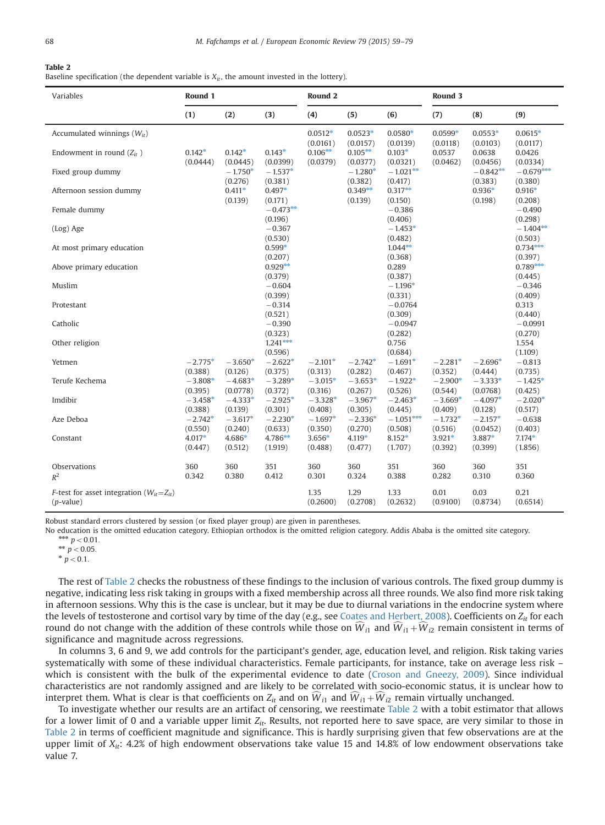<span id="page-9-0"></span>Baseline specification (the dependent variable is  $X_{it}$ , the amount invested in the lottery).

| Variables                                                                 | Round 1                        |                              |                                 | Round <sub>2</sub>             |                                |                                   | Round 3                        |                                 |                                |
|---------------------------------------------------------------------------|--------------------------------|------------------------------|---------------------------------|--------------------------------|--------------------------------|-----------------------------------|--------------------------------|---------------------------------|--------------------------------|
|                                                                           | (1)                            | (2)                          | (3)                             | (4)                            | (5)                            | (6)                               | (7)                            | (8)                             | (9)                            |
| Accumulated winnings $(W_{it})$                                           |                                |                              |                                 | $0.0512*$<br>(0.0161)          | $0.0523*$<br>(0.0157)          | $0.0580*$<br>(0.0139)             | $0.0599*$<br>(0.0118)          | $0.0553*$<br>(0.0103)           | $0.0615*$<br>(0.0117)          |
| Endowment in round $(Z_{it})$                                             | $0.142*$<br>(0.0444)           | $0.142*$<br>(0.0445)         | $0.143*$<br>(0.0399)            | $0.106***$<br>(0.0379)         | $0.105***$<br>(0.0377)         | $0.103*$<br>(0.0321)              | 0.0537<br>(0.0462)             | 0.0638<br>(0.0456)              | 0.0426<br>(0.0334)             |
| Fixed group dummy                                                         |                                | $-1.750*$<br>(0.276)         | $-1.537*$<br>(0.381)            |                                | $-1.280*$<br>(0.382)           | $-1.021***$<br>(0.417)            |                                | $-0.842**$<br>(0.383)           | $-0.679***$<br>(0.380)         |
| Afternoon session dummy                                                   |                                | $0.411*$<br>(0.139)          | $0.497*$<br>(0.171)             |                                | $0.349**$<br>(0.139)           | $0.317**$<br>(0.150)              |                                | $0.936*$<br>(0.198)             | $0.916*$<br>(0.208)            |
| Female dummy                                                              |                                |                              | $-0.473**$<br>(0.196)           |                                |                                | $-0.386$<br>(0.406)               |                                |                                 | $-0.490$<br>(0.298)            |
| (Log) Age                                                                 |                                |                              | $-0.367$<br>(0.530)             |                                |                                | $-1.453*$<br>(0.482)              |                                |                                 | $-1.404**$<br>(0.503)          |
| At most primary education                                                 |                                |                              | $0.599*$<br>(0.207)             |                                |                                | $1.044***$<br>(0.368)             |                                |                                 | $0.734***$<br>(0.397)          |
| Above primary education                                                   |                                |                              | $0.929**$<br>(0.379)            |                                |                                | 0.289<br>(0.387)                  |                                |                                 | $0.789***$<br>(0.445)          |
| Muslim                                                                    |                                |                              | $-0.604$<br>(0.399)             |                                |                                | $-1.196*$<br>(0.331)              |                                |                                 | $-0.346$<br>(0.409)            |
| Protestant<br>Catholic                                                    |                                |                              | $-0.314$<br>(0.521)<br>$-0.390$ |                                |                                | $-0.0764$<br>(0.309)<br>$-0.0947$ |                                |                                 | 0.313<br>(0.440)<br>$-0.0991$  |
| Other religion                                                            |                                |                              | (0.323)<br>$1.241***$           |                                |                                | (0.282)<br>0.756                  |                                |                                 | (0.270)<br>1.554               |
| Yetmen                                                                    | $-2.775*$                      | $-3.650*$                    | (0.596)<br>$-2.622*$            | $-2.101*$                      | $-2.742*$                      | (0.684)<br>$-1.691*$              | $-2.281*$                      | $-2.696*$                       | (1.109)<br>$-0.813$            |
| Terufe Kechema                                                            | (0.388)<br>$-3.808*$           | (0.126)<br>$-4.683*$         | (0.375)<br>$-3.289*$            | (0.313)<br>$-3.015*$           | (0.282)<br>$-3.653*$           | (0.467)<br>$-1.922*$              | (0.352)<br>$-2.900*$           | (0.444)<br>$-3.333*$            | (0.735)<br>$-1.425*$           |
| Imdibir                                                                   | (0.395)<br>$-3.458*$           | (0.0778)<br>$-4.333*$        | (0.372)<br>$-2.925*$            | (0.316)<br>$-3.328*$           | (0.267)<br>$-3.967*$           | (0.526)<br>$-2.463*$              | (0.544)<br>$-3.669*$           | (0.0768)<br>$-4.097*$           | (0.425)<br>$-2.020*$           |
| Aze Deboa                                                                 | (0.388)<br>$-2.742*$           | (0.139)<br>$-3.617*$         | (0.301)<br>$-2.230*$            | (0.408)<br>$-1.697*$           | (0.305)<br>$-2.336*$           | (0.445)<br>$-1.051***$            | (0.409)<br>$-1.732*$           | (0.128)<br>$-2.157*$            | (0.517)<br>$-0.638$            |
| Constant                                                                  | (0.550)<br>$4.017*$<br>(0.447) | (0.240)<br>4.686*<br>(0.512) | (0.633)<br>4.786**<br>(1.919)   | (0.350)<br>$3.656*$<br>(0.488) | (0.270)<br>$4.119*$<br>(0.477) | (0.508)<br>$8.152*$<br>(1.707)    | (0.516)<br>$3.921*$<br>(0.392) | (0.0452)<br>$3.887*$<br>(0.399) | (0.403)<br>$7.174*$<br>(1.856) |
| Observations<br>$R^2$                                                     | 360<br>0.342                   | 360<br>0.380                 | 351<br>0.412                    | 360<br>0.301                   | 360<br>0.324                   | 351<br>0.388                      | 360<br>0.282                   | 360<br>0.310                    | 351<br>0.360                   |
| <i>F</i> -test for asset integration ( $W_{it} = Z_{it}$ )<br>$(p-value)$ |                                |                              |                                 | 1.35<br>(0.2600)               | 1.29<br>(0.2708)               | 1.33<br>(0.2632)                  | 0.01<br>(0.9100)               | 0.03<br>(0.8734)                | 0.21<br>(0.6514)               |

Robust standard errors clustered by session (or fixed player group) are given in parentheses.

No education is the omitted education category. Ethiopian orthodox is the omitted religion category. Addis Ababa is the omitted site category. \*\*\*  $p < 0.01$ .<br>\*\*  $p < 0.05$ .<br>\*  $p < 0.1$ .

The rest of Table 2 checks the robustness of these findings to the inclusion of various controls. The fixed group dummy is negative, indicating less risk taking in groups with a fixed membership across all three rounds. We also find more risk taking in afternoon sessions. Why this is the case is unclear, but it may be due to diurnal variations in the endocrine system where the levels of testosterone and cortisol vary by time of the day (e.g., see [Coates and Herbert, 2008\)](#page-19-0). Coefficients on  $Z_{it}$  for each round do not change with the addition of these controls while those on  $W_{i1}$  and  $W_{i1} + W_{i2}$  remain consistent in terms of significance and magnitude across regressions.

In columns 3, 6 and 9, we add controls for the participant's gender, age, education level, and religion. Risk taking varies systematically with some of these individual characteristics. Female participants, for instance, take on average less risk – which is consistent with the bulk of the experimental evidence to date ([Croson and Gneezy, 2009](#page-19-0)). Since individual characteristics are not randomly assigned and are likely to be correlated with socio-economic status, it is unclear how to interpret them. What is clear is that coefficients on  $Z_{it}$  and on  $W_{i1}$  and  $W_{i1} + W_{i2}$  remain virtually unchanged.

To investigate whether our results are an artifact of censoring, we reestimate Table 2 with a tobit estimator that allows for a lower limit of 0 and a variable upper limit  $Z_{it}$ . Results, not reported here to save space, are very similar to those in Table 2 in terms of coefficient magnitude and significance. This is hardly surprising given that few observations are at the upper limit of  $X_{it}$ : 4.2% of high endowment observations take value 15 and 14.8% of low endowment observations take value 7.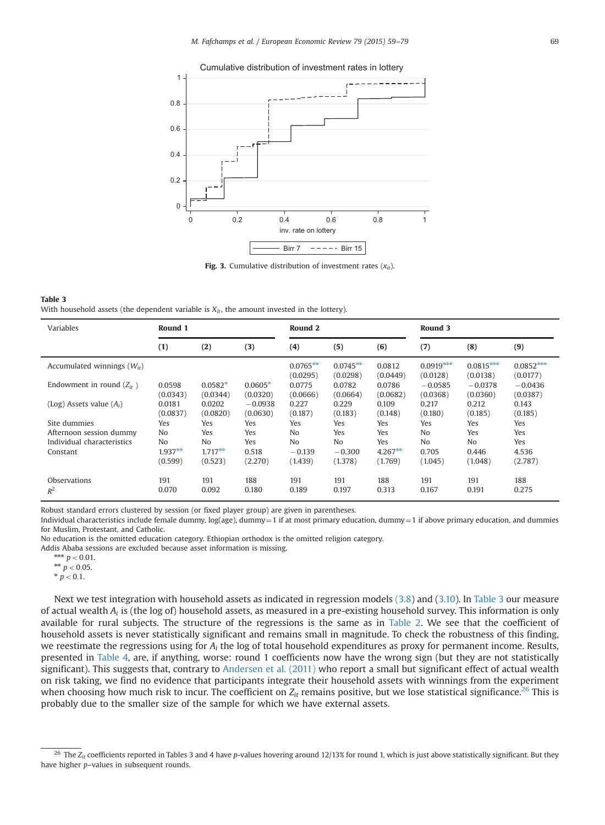<span id="page-10-0"></span>

Fig. 3. Cumulative distribution of investment rates  $(x_{it})$ .

With household assets (the dependent variable is  $X_{it}$ , the amount invested in the lottery).

| Variables                       | Round 1              |                       |                       | Round 2                 |                         |                      | Round 3                 |                         |                         |  |
|---------------------------------|----------------------|-----------------------|-----------------------|-------------------------|-------------------------|----------------------|-------------------------|-------------------------|-------------------------|--|
|                                 | (1)                  | (2)                   | (3)                   | (4)                     | (5)                     | (6)                  | (7)                     | (8)                     | (9)                     |  |
| Accumulated winnings $(W_{it})$ |                      |                       |                       | $0.0765***$<br>(0.0295) | $0.0745***$<br>(0.0298) | 0.0812<br>(0.0449)   | $0.0919***$<br>(0.0128) | $0.0815***$<br>(0.0138) | $0.0852***$<br>(0.0177) |  |
| Endowment in round $(Z_{it})$   | 0.0598<br>(0.0343)   | $0.0582*$<br>(0.0344) | $0.0605*$<br>(0.0320) | 0.0775<br>(0.0666)      | 0.0782<br>(0.0664)      | 0.0786<br>(0.0682)   | $-0.0585$<br>(0.0368)   | $-0.0378$<br>(0.0360)   | $-0.0436$<br>(0.0387)   |  |
| $(Log)$ Assets value $(A_i)$    | 0.0181<br>(0.0837)   | 0.0202<br>(0.0820)    | $-0.0938$<br>(0.0630) | 0.227<br>(0.187)        | 0.229<br>(0.183)        | 0.109<br>(0.148)     | 0.217<br>(0.180)        | 0.212<br>(0.185)        | 0.143<br>(0.185)        |  |
| Site dummies                    | Yes                  | Yes                   | Yes                   | Yes                     | <b>Yes</b>              | Yes                  | Yes                     | Yes                     | Yes                     |  |
| Afternoon session dummy         | N <sub>0</sub>       | Yes                   | Yes                   | No                      | Yes                     | Yes                  | N <sub>0</sub>          | Yes                     | Yes                     |  |
| Individual characteristics      | N <sub>0</sub>       | N <sub>0</sub>        | Yes                   | No                      | No                      | Yes                  | N <sub>0</sub>          | No                      | Yes                     |  |
| Constant                        | $1.937**$<br>(0.599) | $1.717**$<br>(0.523)  | 0.518<br>(2.270)      | $-0.139$<br>(1.439)     | $-0.300$<br>(1.378)     | $4.267**$<br>(1.769) | 0.705<br>(1.045)        | 0.446<br>(1.048)        | 4.536<br>(2.787)        |  |
| Observations<br>$R^2$           | 191<br>0.070         | 191<br>0.092          | 188<br>0.180          | 191<br>0.189            | 191<br>0.197            | 188<br>0.313         | 191<br>0.167            | 191<br>0.191            | 188<br>0.275            |  |

Robust standard errors clustered by session (or fixed player group) are given in parentheses.

Individual characteristics include female dummy, log(age), dummy = 1 if at most primary education, dummy = 1 if above primary education, and dummies for Muslim, Protestant, and Catholic.

No education is the omitted education category. Ethiopian orthodox is the omitted religion category.

Addis Ababa sessions are excluded because asset information is missing.

\*\*\*  $p < 0.01$ .<br>\*\*  $p < 0.05$ .<br>\*  $p < 0.1$ .

Next we test integration with household assets as indicated in regression models [\(3.8](#page-4-0)) and ([3.10\)](#page-4-0). In Table 3 our measure of actual wealth  $A_i$  is (the log of) household assets, as measured in a pre-existing household survey. This information is only available for rural subjects. The structure of the regressions is the same as in [Table 2.](#page-9-0) We see that the coefficient of household assets is never statistically significant and remains small in magnitude. To check the robustness of this finding, we reestimate the regressions using for  $A_i$  the log of total household expenditures as proxy for permanent income. Results, presented in [Table 4](#page-11-0), are, if anything, worse: round 1 coefficients now have the wrong sign (but they are not statistically significant). This suggests that, contrary to [Andersen et al. \(2011\)](#page-19-0) who report a small but significant effect of actual wealth on risk taking, we find no evidence that participants integrate their household assets with winnings from the experiment when choosing how much risk to incur. The coefficient on  $Z_{it}$  remains positive, but we lose statistical significance.<sup>26</sup> This is probably due to the smaller size of the sample for which we have external assets.

<sup>&</sup>lt;sup>26</sup> The  $Z_{it}$  coefficients reported in Tables 3 and 4 have p-values hovering around 12/13% for round 1, which is just above statistically significant. But they have higher *p*–values in subsequent rounds.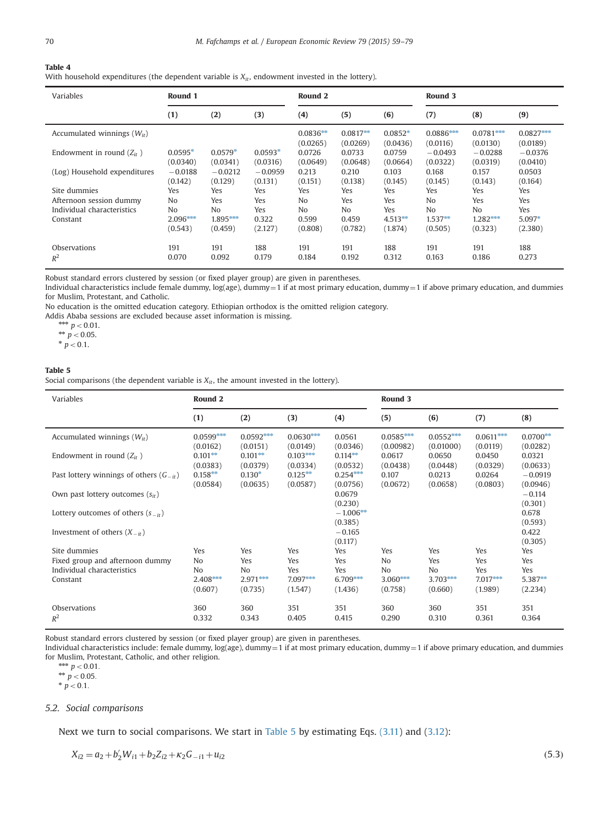<span id="page-11-0"></span>With household expenditures (the dependent variable is  $X_{it}$ , endowment invested in the lottery).

| Variables                       | Round 1               |                       |                       | Round 2                |                        |                       | Round 3                 |                         |                         |
|---------------------------------|-----------------------|-----------------------|-----------------------|------------------------|------------------------|-----------------------|-------------------------|-------------------------|-------------------------|
|                                 | (1)                   | (2)                   | (3)                   | (4)                    | (5)                    | (6)                   | (7)                     | (8)                     | (9)                     |
| Accumulated winnings $(W_{it})$ |                       |                       |                       | $0.0836**$<br>(0.0265) | $0.0817**$<br>(0.0269) | $0.0852*$<br>(0.0436) | $0.0886***$<br>(0.0116) | $0.0781***$<br>(0.0130) | $0.0827***$<br>(0.0189) |
| Endowment in round $(Z_{it})$   | $0.0595*$<br>(0.0340) | $0.0579*$<br>(0.0341) | $0.0593*$<br>(0.0316) | 0.0726<br>(0.0649)     | 0.0733<br>(0.0648)     | 0.0759<br>(0.0664)    | $-0.0493$<br>(0.0322)   | $-0.0288$<br>(0.0319)   | $-0.0376$<br>(0.0410)   |
| (Log) Household expenditures    | $-0.0188$<br>(0.142)  | $-0.0212$<br>(0.129)  | $-0.0959$<br>(0.131)  | 0.213<br>(0.151)       | 0.210<br>(0.138)       | 0.103<br>(0.145)      | 0.168<br>(0.145)        | 0.157<br>(0.143)        | 0.0503<br>(0.164)       |
| Site dummies                    | Yes                   | Yes                   | Yes                   | Yes                    | Yes                    | Yes                   | Yes                     | Yes                     | Yes                     |
| Afternoon session dummy         | N <sub>0</sub>        | Yes                   | Yes                   | N <sub>0</sub>         | Yes                    | Yes                   | N <sub>0</sub>          | Yes                     | Yes                     |
| Individual characteristics      | N <sub>0</sub>        | N <sub>0</sub>        | Yes                   | N <sub>0</sub>         | No.                    | Yes                   | N <sub>0</sub>          | N <sub>0</sub>          | Yes                     |
| Constant                        | $2.096***$            | $1.895***$            | 0.322                 | 0.599                  | 0.459                  | $4.513***$            | $1.537**$               | $1.282***$              | $5.097*$                |
|                                 | (0.543)               | (0.459)               | (2.127)               | (0.808)                | (0.782)                | (1.874)               | (0.505)                 | (0.323)                 | (2.380)                 |
| <b>Observations</b>             | 191                   | 191                   | 188                   | 191                    | 191                    | 188                   | 191                     | 191                     | 188                     |
| $R^2$                           | 0.070                 | 0.092                 | 0.179                 | 0.184                  | 0.192                  | 0.312                 | 0.163                   | 0.186                   | 0.273                   |

Robust standard errors clustered by session (or fixed player group) are given in parentheses.

Individual characteristics include female dummy,  $log(age)$ , dummy=1 if at most primary education, dummy=1 if above primary education, and dummies for Muslim, Protestant, and Catholic.

No education is the omitted education category. Ethiopian orthodox is the omitted religion category.

Addis Ababa sessions are excluded because asset information is missing. \*\*\*  $p < 0.01.$ 

\*\*  $p' < 0.05$ .<br>\*  $p < 0.1$ .

#### Table 5

Social comparisons (the dependent variable is  $X_{it}$ , the amount invested in the lottery).

| Variables                                   | Round 2                 |                         |                         |                        | Round 3                  |                          |                         |                        |
|---------------------------------------------|-------------------------|-------------------------|-------------------------|------------------------|--------------------------|--------------------------|-------------------------|------------------------|
|                                             | (1)                     | (2)                     | (3)                     | (4)                    | (5)                      | (6)                      | (7)                     | (8)                    |
| Accumulated winnings $(W_{it})$             | $0.0599***$<br>(0.0162) | $0.0592***$<br>(0.0151) | $0.0630***$<br>(0.0149) | 0.0561<br>(0.0346)     | $0.0585***$<br>(0.00982) | $0.0552***$<br>(0.01000) | $0.0611***$<br>(0.0119) | $0.0700**$<br>(0.0282) |
| Endowment in round $(Z_{it})$               | $0.101***$<br>(0.0383)  | $0.101***$<br>(0.0379)  | $0.103***$<br>(0.0334)  | $0.114***$<br>(0.0532) | 0.0617<br>(0.0438)       | 0.0650<br>(0.0448)       | 0.0450<br>(0.0329)      | 0.0321<br>(0.0633)     |
| Past lottery winnings of others $(G_{-it})$ | $0.158***$<br>(0.0584)  | $0.130*$<br>(0.0635)    | $0.125***$<br>(0.0587)  | $0.254***$<br>(0.0756) | 0.107<br>(0.0672)        | 0.0213<br>(0.0658)       | 0.0264<br>(0.0803)      | $-0.0919$<br>(0.0946)  |
| Own past lottery outcomes $(s_{it})$        |                         |                         |                         | 0.0679<br>(0.230)      |                          |                          |                         | $-0.114$<br>(0.301)    |
| Lottery outcomes of others $(s_{-it})$      |                         |                         |                         | $-1.006**$<br>(0.385)  |                          |                          |                         | 0.678<br>(0.593)       |
| Investment of others $(X_{-it})$            |                         |                         |                         | $-0.165$<br>(0.117)    |                          |                          |                         | 0.422<br>(0.305)       |
| Site dummies                                | Yes                     | Yes                     | Yes                     | <b>Yes</b>             | Yes                      | Yes                      | Yes                     | Yes                    |
| Fixed group and afternoon dummy             | No                      | Yes                     | Yes                     | <b>Yes</b>             | No                       | Yes                      | Yes                     | Yes                    |
| Individual characteristics                  | No                      | No                      | Yes                     | Yes                    | No                       | No                       | Yes                     | Yes                    |
| Constant                                    | $2.408***$              | $2.971***$              | $7.097***$              | $6.709***$             | $3.060***$               | $3.703***$               | $7.017***$              | $5.387**$              |
|                                             | (0.607)                 | (0.735)                 | (1.547)                 | (1.436)                | (0.758)                  | (0.660)                  | (1.989)                 | (2.234)                |
| Observations                                | 360                     | 360                     | 351                     | 351                    | 360                      | 360                      | 351                     | 351                    |
| $R^2$                                       | 0.332                   | 0.343                   | 0.405                   | 0.415                  | 0.290                    | 0.310                    | 0.361                   | 0.364                  |

Robust standard errors clustered by session (or fixed player group) are given in parentheses.

Individual characteristics include: female dummy, log(age), dummy=1 if at most primary education, dummy=1 if above primary education, and dummies for Muslim, Protestant, Catholic, and other religion.<br>\*\*\*  $p < 0.01$ .

\*\*  $p$  < 0.05.<br>\*  $p$  < 0.1.

#### 5.2. Social comparisons

Next we turn to social comparisons. We start in Table 5 by estimating Eqs. [\(3.11](#page-6-0)) and [\(3.12](#page-6-0)):

$$
X_{i2} = a_2 + b'_2 W_{i1} + b_2 Z_{i2} + \kappa_2 G_{-i1} + u_{i2}
$$
\n
$$
(5.3)
$$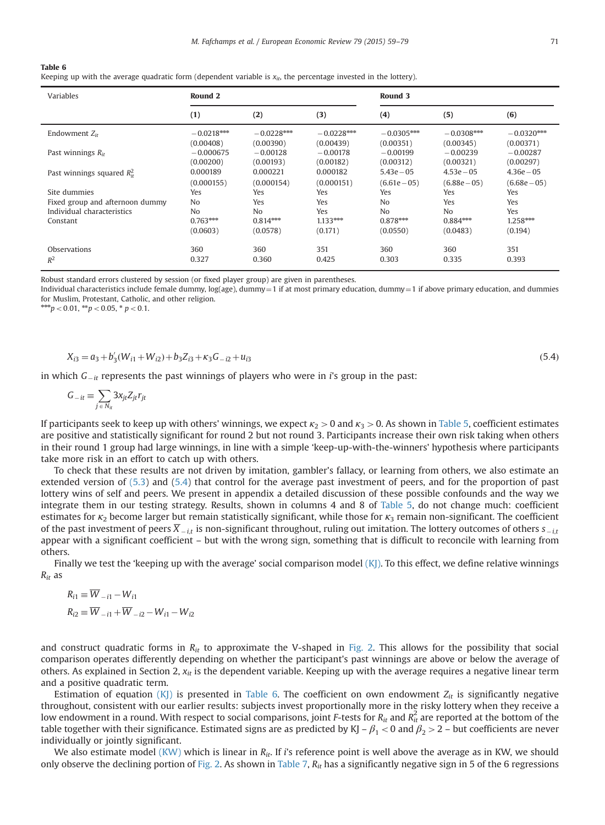Keeping up with the average quadratic form (dependent variable is  $x_{it}$ , the percentage invested in the lottery).

| Variables                                                                                 | Round 2                                                           |                                                        |                                            | Round 3                                                           |                                                        |                                            |  |
|-------------------------------------------------------------------------------------------|-------------------------------------------------------------------|--------------------------------------------------------|--------------------------------------------|-------------------------------------------------------------------|--------------------------------------------------------|--------------------------------------------|--|
|                                                                                           | (1)                                                               | (2)                                                    | (3)                                        | (4)                                                               | (5)                                                    | (6)                                        |  |
| Endowment $Z_{it}$                                                                        | $-0.0218***$                                                      | $-0.0228***$                                           | $-0.0228***$                               | $-0.0305***$                                                      | $-0.0308***$                                           | $-0.0320***$                               |  |
|                                                                                           | (0.00408)                                                         | (0.00390)                                              | (0.00439)                                  | (0.00351)                                                         | (0.00345)                                              | (0.00371)                                  |  |
| Past winnings $R_{ir}$                                                                    | $-0.000675$                                                       | $-0.00128$                                             | $-0.00178$                                 | $-0.00199$                                                        | $-0.00239$                                             | $-0.00287$                                 |  |
|                                                                                           | (0.00200)                                                         | (0.00193)                                              | (0.00182)                                  | (0.00312)                                                         | (0.00321)                                              | (0.00297)                                  |  |
| Past winnings squared $Rir2$                                                              | 0.000189                                                          | 0.000221                                               | 0.000182                                   | $5.43e - 05$                                                      | $4.53e - 05$                                           | $4.36e - 0.5$                              |  |
|                                                                                           | (0.000155)                                                        | (0.000154)                                             | (0.000151)                                 | $(6.61e - 05)$                                                    | $(6.88e - 05)$                                         | $(6.68e - 05)$                             |  |
| Site dummies<br>Fixed group and afternoon dummy<br>Individual characteristics<br>Constant | Yes<br>N <sub>0</sub><br>N <sub>0</sub><br>$0.763***$<br>(0.0603) | Yes<br>Yes<br>N <sub>0</sub><br>$0.814***$<br>(0.0578) | Yes<br>Yes<br>Yes<br>$1.133***$<br>(0.171) | Yes<br>N <sub>0</sub><br>N <sub>0</sub><br>$0.878***$<br>(0.0550) | Yes<br>Yes<br>N <sub>0</sub><br>$0.884***$<br>(0.0483) | Yes<br>Yes<br>Yes<br>$1.258***$<br>(0.194) |  |
| Observations                                                                              | 360                                                               | 360                                                    | 351                                        | 360                                                               | 360                                                    | 351                                        |  |
| $R^2$                                                                                     | 0.327                                                             | 0.360                                                  | 0.425                                      | 0.303                                                             | 0.335                                                  | 0.393                                      |  |

Robust standard errors clustered by session (or fixed player group) are given in parentheses.

Individual characteristics include female dummy, log(age), dummy = 1 if at most primary education, dummy = 1 if above primary education, and dummies for Muslim, Protestant, Catholic, and other religion.

\*\*\*p < 0.01, \*\*p < 0.05, \* p < 0.1.

$$
X_{i3} = a_3 + b'_3(W_{i1} + W_{i2}) + b_3 Z_{i3} + \kappa_3 G_{-i2} + u_{i3}
$$
\n
$$
(5.4)
$$

in which  $G_{-it}$  represents the past winnings of players who were in  $i$ 's group in the past:

$$
G_{-it} \equiv \sum_{j \in N_{it}} 3x_{jt} Z_{jt} r_{jt}
$$

If participants seek to keep up with others' winnings, we expect  $\kappa_2 > 0$  and  $\kappa_3 > 0$ . As shown in [Table 5,](#page-11-0) coefficient estimates are positive and statistically significant for round 2 but not round 3. Participants increase their own risk taking when others in their round 1 group had large winnings, in line with a simple 'keep-up-with-the-winners' hypothesis where participants take more risk in an effort to catch up with others.

To check that these results are not driven by imitation, gambler's fallacy, or learning from others, we also estimate an extended version of [\(5.3](#page-11-0)) and (5.4) that control for the average past investment of peers, and for the proportion of past lottery wins of self and peers. We present in appendix a detailed discussion of these possible confounds and the way we integrate them in our testing strategy. Results, shown in columns 4 and 8 of [Table 5,](#page-11-0) do not change much: coefficient estimates for  $\kappa_2$  become larger but remain statistically significant, while those for  $\kappa_3$  remain non-significant. The coefficient of the past investment of peers  $X_{-i,t}$  is non-significant throughout, ruling out imitation. The lottery outcomes of others  $s_{-i,t}$ appear with a significant coefficient – but with the wrong sign, something that is difficult to reconcile with learning from others.

Finally we test the 'keeping up with the average' social comparison model  $(K)$ ). To this effect, we define relative winnings  $R_{it}$  as

$$
R_{i1} \equiv \overline{W}_{-i1} - W_{i1}
$$
  

$$
R_{i2} \equiv \overline{W}_{-i1} + \overline{W}_{-i2} - W_{i1} - W_{i2}
$$

and construct quadratic forms in  $R_{it}$  to approximate the V-shaped in [Fig. 2.](#page-6-0) This allows for the possibility that social comparison operates differently depending on whether the participant's past winnings are above or below the average of others. As explained in Section 2,  $x_{it}$  is the dependent variable. Keeping up with the average requires a negative linear term and a positive quadratic term.

Estimation of equation [\(KJ\)](#page-6-0) is presented in Table 6. The coefficient on own endowment  $Z_{it}$  is significantly negative throughout, consistent with our earlier results: subjects invest proportionally more in the risky lottery when they receive a low endowment in a round. With respect to social comparisons, joint F-tests for  $R_{it}$  and  $R_{it}^2$  are reported at the bottom of the table together with their significance. Estimated signs are as predicted by KJ –  $\beta_1$  < 0 and  $\beta_2$  > 2 – but coefficients are never individually or jointly significant.

We also estimate model [\(KW\)](#page-6-0) which is linear in  $R_{it}$ . If i's reference point is well above the average as in KW, we should only observe the declining portion of [Fig. 2.](#page-6-0) As shown in [Table 7,](#page-13-0)  $R_{it}$  has a significantly negative sign in 5 of the 6 regressions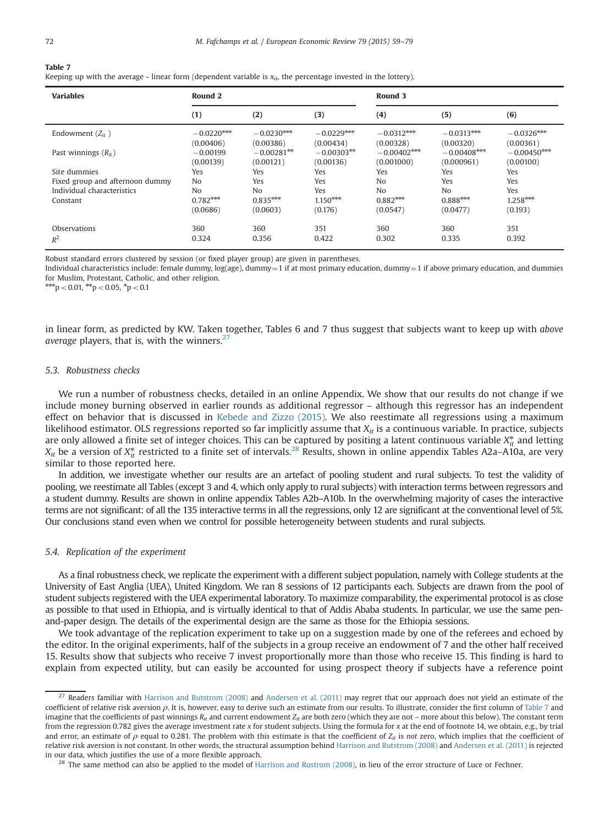<span id="page-13-0"></span>Keeping up with the average - linear form (dependent variable is  $x_{it}$ , the percentage invested in the lottery).

| <b>Variables</b>                | Round 2                              |                                         |                                        | Round 3                                  |                                          |                                         |  |
|---------------------------------|--------------------------------------|-----------------------------------------|----------------------------------------|------------------------------------------|------------------------------------------|-----------------------------------------|--|
|                                 | (1)                                  | (2)                                     | (3)                                    | (4)                                      | (5)                                      | (6)                                     |  |
| Endowment $(Z_{it})$            | $-0.0220***$                         | $-0.0230***$                            | $-0.0229***$                           | $-0.0312***$                             | $-0.0313***$                             | $-0.0326***$                            |  |
| Past winnings $(R_{ir})$        | (0.00406)<br>$-0.00199$<br>(0.00139) | (0.00386)<br>$-0.00281***$<br>(0.00121) | (0.00434)<br>$-0.00303**$<br>(0.00136) | (0.00328)<br>$-0.00402***$<br>(0.001000) | (0.00320)<br>$-0.00408***$<br>(0.000961) | (0.00361)<br>$-0.00450***$<br>(0.00100) |  |
| Site dummies                    | Yes                                  | Yes                                     | Yes                                    | Yes                                      | Yes                                      | Yes                                     |  |
| Fixed group and afternoon dummy | No                                   | Yes                                     | Yes                                    | N <sub>0</sub>                           | Yes                                      | Yes                                     |  |
| Individual characteristics      | No                                   | N <sub>0</sub>                          | Yes                                    | No                                       | N <sub>0</sub>                           | Yes                                     |  |
| Constant                        | $0.782***$                           | $0.835***$                              | $1.150***$                             | $0.882***$                               | $0.888***$                               | $1.258***$                              |  |
|                                 | (0.0686)                             | (0.0603)                                | (0.176)                                | (0.0547)                                 | (0.0477)                                 | (0.193)                                 |  |
| Observations                    | 360                                  | 360                                     | 351                                    | 360                                      | 360                                      | 351                                     |  |
| $R^2$                           | 0.324                                | 0.356                                   | 0.422                                  | 0.302                                    | 0.335                                    | 0.392                                   |  |

Robust standard errors clustered by session (or fixed player group) are given in parentheses.

Individual characteristics include: female dummy, log(age), dummy=1 if at most primary education, dummy=1 if above primary education, and dummies for Muslim, Protestant, Catholic, and other religion.

\*\*\*p < 0.01, \*\*p < 0.05,  ${}^*p$  < 0.1

in linear form, as predicted by KW. Taken together, Tables 6 and 7 thus suggest that subjects want to keep up with above *average* players, that is, with the winners. $27$ 

# 5.3. Robustness checks

We run a number of robustness checks, detailed in an online Appendix. We show that our results do not change if we include money burning observed in earlier rounds as additional regressor – although this regressor has an independent effect on behavior that is discussed in [Kebede and Zizzo \(2015\).](#page-19-0) We also reestimate all regressions using a maximum likelihood estimator. OLS regressions reported so far implicitly assume that  $X_{it}$  is a continuous variable. In practice, subjects are only allowed a finite set of integer choices. This can be captured by positing a latent continuous variable  $X^*_{it}$  and letting  $X_{it}$  be a version of  $X_{it}^*$  restricted to a finite set of intervals. $^{28}$  Results, shown in online appendix Tables A2a–A10a, are very similar to those reported here.

In addition, we investigate whether our results are an artefact of pooling student and rural subjects. To test the validity of pooling, we reestimate all Tables (except 3 and 4, which only apply to rural subjects) with interaction terms between regressors and a student dummy. Results are shown in online appendix Tables A2b–A10b. In the overwhelming majority of cases the interactive terms are not significant: of all the 135 interactive terms in all the regressions, only 12 are significant at the conventional level of 5%. Our conclusions stand even when we control for possible heterogeneity between students and rural subjects.

#### 5.4. Replication of the experiment

As a final robustness check, we replicate the experiment with a different subject population, namely with College students at the University of East Anglia (UEA), United Kingdom. We ran 8 sessions of 12 participants each. Subjects are drawn from the pool of student subjects registered with the UEA experimental laboratory. To maximize comparability, the experimental protocol is as close as possible to that used in Ethiopia, and is virtually identical to that of Addis Ababa students. In particular, we use the same penand-paper design. The details of the experimental design are the same as those for the Ethiopia sessions.

We took advantage of the replication experiment to take up on a suggestion made by one of the referees and echoed by the editor. In the original experiments, half of the subjects in a group receive an endowment of 7 and the other half received 15. Results show that subjects who receive 7 invest proportionally more than those who receive 15. This finding is hard to explain from expected utility, but can easily be accounted for using prospect theory if subjects have a reference point

 $^{27}$  Readers familiar with [Harrison and Rutstrom \(2008\)](#page-19-0) and [Andersen et al. \(2011\)](#page-19-0) may regret that our approach does not yield an estimate of the coefficient of relative risk aversion  $\rho$ . It is, however, easy to derive such an estimate from our results. To illustrate, consider the first column of Table 7 and imagine that the coefficients of past winnings  $R_{it}$  and current endowment  $Z_{it}$  are both zero (which they are not – more about this below). The constant term from the regression 0.782 gives the average investment rate x for student subjects. Using the formula for x at the end of footnote 14, we obtain, e.g., by trial and error, an estimate of  $\rho$  equal to 0.281. The problem with this estimate is that the coefficient of  $Z<sub>it</sub>$  is not zero, which implies that the coefficient of relative risk aversion is not constant. In other words, the structural assumption behind [Harrison and Rutstrom \(2008\)](#page-19-0) and [Andersen et al. \(2011\)](#page-19-0) is rejected in our data, which justifies the use of a more flexible approach.

 $^{28}$  The same method can also be applied to the model of [Harrison and Rustrom \(2008\),](#page-19-0) in lieu of the error structure of Luce or Fechner.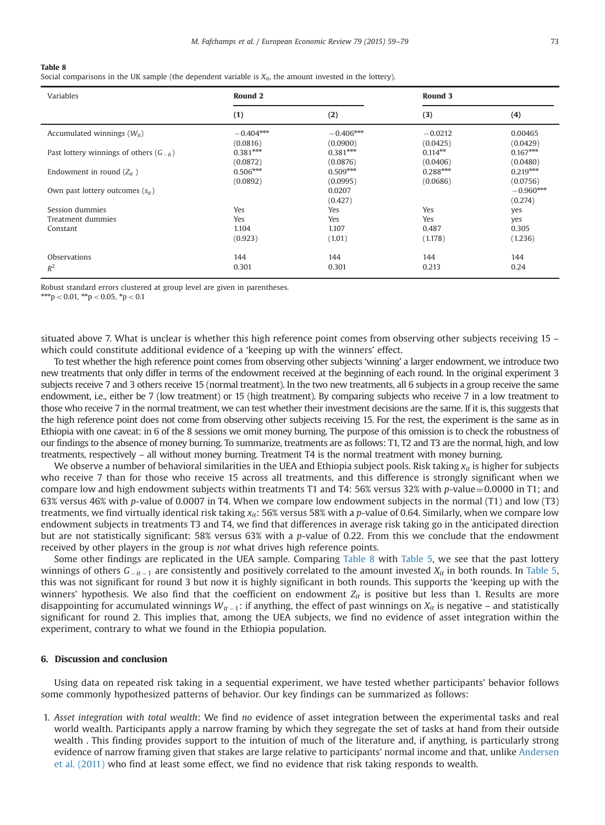<span id="page-14-0"></span>Social comparisons in the UK sample (the dependent variable is  $X_{it}$ , the amount invested in the lottery).

| Variables                                   | Round 2                            |                                    | Round 3                            |                                    |  |  |
|---------------------------------------------|------------------------------------|------------------------------------|------------------------------------|------------------------------------|--|--|
|                                             | (1)                                | (2)                                | (3)                                | (4)                                |  |  |
| Accumulated winnings $(W_{it})$             | $-0.404***$                        | $-0.406***$                        | $-0.0212$                          | 0.00465                            |  |  |
| Past lottery winnings of others $(G_{-it})$ | (0.0816)<br>$0.381***$<br>(0.0872) | (0.0900)<br>$0.381***$<br>(0.0876) | (0.0425)<br>$0.114***$<br>(0.0406) | (0.0429)<br>$0.167***$<br>(0.0480) |  |  |
| Endowment in round $(Z_{it})$               | $0.506***$<br>(0.0892)             | $0.509***$<br>(0.0995)             | $0.288***$<br>(0.0686)             | $0.219***$<br>(0.0756)             |  |  |
| Own past lottery outcomes $(s_{it})$        |                                    | 0.0207<br>(0.427)                  |                                    | $-0.960***$<br>(0.274)             |  |  |
| Session dummies                             | Yes                                | Yes                                | Yes                                | yes                                |  |  |
| Treatment dummies                           | <b>Yes</b>                         | Yes                                | Yes                                | yes                                |  |  |
| Constant                                    | 1.104                              | 1.107                              | 0.487                              | 0.305                              |  |  |
|                                             | (0.923)                            | (1.01)                             | (1.178)                            | (1.236)                            |  |  |
| Observations                                | 144                                | 144                                | 144                                | 144                                |  |  |
| $R^2$                                       | 0.301                              | 0.301                              | 0.213                              | 0.24                               |  |  |

Robust standard errors clustered at group level are given in parentheses.

\*\*\*p < 0.01, \*\*p < 0.05, \*p < 0.1

situated above 7. What is unclear is whether this high reference point comes from observing other subjects receiving 15 – which could constitute additional evidence of a 'keeping up with the winners' effect.

To test whether the high reference point comes from observing other subjects 'winning' a larger endowment, we introduce two new treatments that only differ in terms of the endowment received at the beginning of each round. In the original experiment 3 subjects receive 7 and 3 others receive 15 (normal treatment). In the two new treatments, all 6 subjects in a group receive the same endowment, i.e., either be 7 (low treatment) or 15 (high treatment). By comparing subjects who receive 7 in a low treatment to those who receive 7 in the normal treatment, we can test whether their investment decisions are the same. If it is, this suggests that the high reference point does not come from observing other subjects receiving 15. For the rest, the experiment is the same as in Ethiopia with one caveat: in 6 of the 8 sessions we omit money burning. The purpose of this omission is to check the robustness of our findings to the absence of money burning. To summarize, treatments are as follows: T1, T2 and T3 are the normal, high, and low treatments, respectively – all without money burning. Treatment T4 is the normal treatment with money burning.

We observe a number of behavioral similarities in the UEA and Ethiopia subject pools. Risk taking  $x_{it}$  is higher for subjects who receive 7 than for those who receive 15 across all treatments, and this difference is strongly significant when we compare low and high endowment subjects within treatments T1 and T4:  $56\%$  versus 32% with p-value = 0.0000 in T1; and 63% versus 46% with p-value of 0.0007 in T4. When we compare low endowment subjects in the normal (T1) and low (T3) treatments, we find virtually identical risk taking  $x_{it}$ : 56% versus 58% with a p-value of 0.64. Similarly, when we compare low endowment subjects in treatments T3 and T4, we find that differences in average risk taking go in the anticipated direction but are not statistically significant: 58% versus 63% with a p-value of 0.22. From this we conclude that the endowment received by other players in the group is not what drives high reference points.

Some other findings are replicated in the UEA sample. Comparing Table 8 with [Table 5](#page-11-0), we see that the past lottery winnings of others  $G_{-it-1}$  are consistently and positively correlated to the amount invested  $X_{it}$  in both rounds. In [Table 5](#page-11-0), this was not significant for round 3 but now it is highly significant in both rounds. This supports the 'keeping up with the winners' hypothesis. We also find that the coefficient on endowment  $Z_{it}$  is positive but less than 1. Results are more disappointing for accumulated winnings  $W_{it-1}$ : if anything, the effect of past winnings on  $X_{it}$  is negative – and statistically significant for round 2. This implies that, among the UEA subjects, we find no evidence of asset integration within the experiment, contrary to what we found in the Ethiopia population.

# 6. Discussion and conclusion

Using data on repeated risk taking in a sequential experiment, we have tested whether participants' behavior follows some commonly hypothesized patterns of behavior. Our key findings can be summarized as follows:

1. Asset integration with total wealth: We find no evidence of asset integration between the experimental tasks and real world wealth. Participants apply a narrow framing by which they segregate the set of tasks at hand from their outside wealth . This finding provides support to the intuition of much of the literature and, if anything, is particularly strong evidence of narrow framing given that stakes are large relative to participants' normal income and that, unlike [Andersen](#page-19-0) [et al. \(2011\)](#page-19-0) who find at least some effect, we find no evidence that risk taking responds to wealth.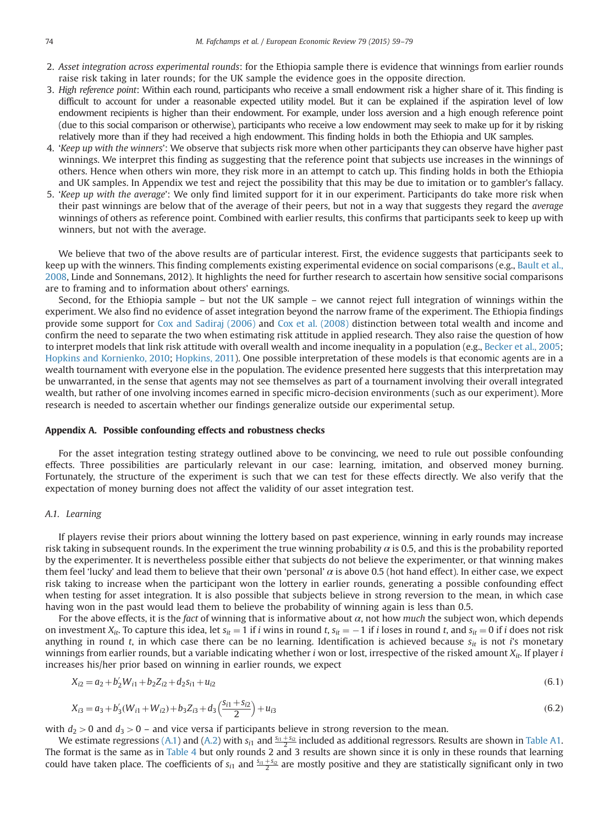- 2. Asset integration across experimental rounds: for the Ethiopia sample there is evidence that winnings from earlier rounds raise risk taking in later rounds; for the UK sample the evidence goes in the opposite direction.
- 3. High reference point: Within each round, participants who receive a small endowment risk a higher share of it. This finding is difficult to account for under a reasonable expected utility model. But it can be explained if the aspiration level of low endowment recipients is higher than their endowment. For example, under loss aversion and a high enough reference point (due to this social comparison or otherwise), participants who receive a low endowment may seek to make up for it by risking relatively more than if they had received a high endowment. This finding holds in both the Ethiopia and UK samples.
- 4. 'Keep up with the winners': We observe that subjects risk more when other participants they can observe have higher past winnings. We interpret this finding as suggesting that the reference point that subjects use increases in the winnings of others. Hence when others win more, they risk more in an attempt to catch up. This finding holds in both the Ethiopia and UK samples. In Appendix we test and reject the possibility that this may be due to imitation or to gambler's fallacy.
- 5. 'Keep up with the average': We only find limited support for it in our experiment. Participants do take more risk when their past winnings are below that of the average of their peers, but not in a way that suggests they regard the *average* winnings of others as reference point. Combined with earlier results, this confirms that participants seek to keep up with winners, but not with the average.

We believe that two of the above results are of particular interest. First, the evidence suggests that participants seek to keep up with the winners. This finding complements existing experimental evidence on social comparisons (e.g., [Bault et al.,](#page-19-0) [2008](#page-19-0), Linde and Sonnemans, 2012). It highlights the need for further research to ascertain how sensitive social comparisons are to framing and to information about others' earnings.

Second, for the Ethiopia sample – but not the UK sample – we cannot reject full integration of winnings within the experiment. We also find no evidence of asset integration beyond the narrow frame of the experiment. The Ethiopia findings provide some support for [Cox and Sadiraj \(2006\)](#page-19-0) and [Cox et al. \(2008\)](#page-19-0) distinction between total wealth and income and confirm the need to separate the two when estimating risk attitude in applied research. They also raise the question of how to interpret models that link risk attitude with overall wealth and income inequality in a population (e.g., [Becker et al., 2005](#page-19-0); [Hopkins and Kornienko, 2010;](#page-19-0) [Hopkins, 2011](#page-19-0)). One possible interpretation of these models is that economic agents are in a wealth tournament with everyone else in the population. The evidence presented here suggests that this interpretation may be unwarranted, in the sense that agents may not see themselves as part of a tournament involving their overall integrated wealth, but rather of one involving incomes earned in specific micro-decision environments (such as our experiment). More research is needed to ascertain whether our findings generalize outside our experimental setup.

## Appendix A. Possible confounding effects and robustness checks

For the asset integration testing strategy outlined above to be convincing, we need to rule out possible confounding effects. Three possibilities are particularly relevant in our case: learning, imitation, and observed money burning. Fortunately, the structure of the experiment is such that we can test for these effects directly. We also verify that the expectation of money burning does not affect the validity of our asset integration test.

# A.1. Learning

If players revise their priors about winning the lottery based on past experience, winning in early rounds may increase risk taking in subsequent rounds. In the experiment the true winning probability  $\alpha$  is 0.5, and this is the probability reported by the experimenter. It is nevertheless possible either that subjects do not believe the experimenter, or that winning makes them feel 'lucky' and lead them to believe that their own 'personal'  $\alpha$  is above 0.5 (hot hand effect). In either case, we expect risk taking to increase when the participant won the lottery in earlier rounds, generating a possible confounding effect when testing for asset integration. It is also possible that subjects believe in strong reversion to the mean, in which case having won in the past would lead them to believe the probability of winning again is less than 0.5.

For the above effects, it is the fact of winning that is informative about  $\alpha$ , not how much the subject won, which depends on investment  $X_{it}$ . To capture this idea, let  $s_{it} = 1$  if i wins in round t,  $s_{it} = -1$  if i loses in round t, and  $s_{it} = 0$  if i does not risk anything in round  $t$ , in which case there can be no learning. Identification is achieved because  $s_{it}$  is not i's monetary winnings from earlier rounds, but a variable indicating whether i won or lost, irrespective of the risked amount  $X_{it}$ . If player i increases his/her prior based on winning in earlier rounds, we expect

$$
X_{i2} = a_2 + b'_2 W_{i1} + b_2 Z_{i2} + d_2 s_{i1} + u_{i2}
$$
\n
$$
(6.1)
$$

$$
X_{i3} = a_3 + b'_3(W_{i1} + W_{i2}) + b_3 Z_{i3} + d_3 \left(\frac{S_{i1} + S_{i2}}{2}\right) + u_{i3} \tag{6.2}
$$

with  $d_2 > 0$  and  $d_3 > 0$  – and vice versa if participants believe in strong reversion to the mean.

We estimate regressions (A.1) and (A.2) with  $s_{i1}$  and  $\frac{s_{i1}+s_{i2}}{2}$  included as additional regressors. Results are shown in [Table A1](#page-16-0). The format is the same as in [Table 4](#page-11-0) but only rounds 2 and 3 results are shown since it is only in these rounds that learning could have taken place. The coefficients of  $s_{i1}$  and  $\frac{s_{i1}+s_{i2}}{2}$  are mostly positive and they are statistically significant only in two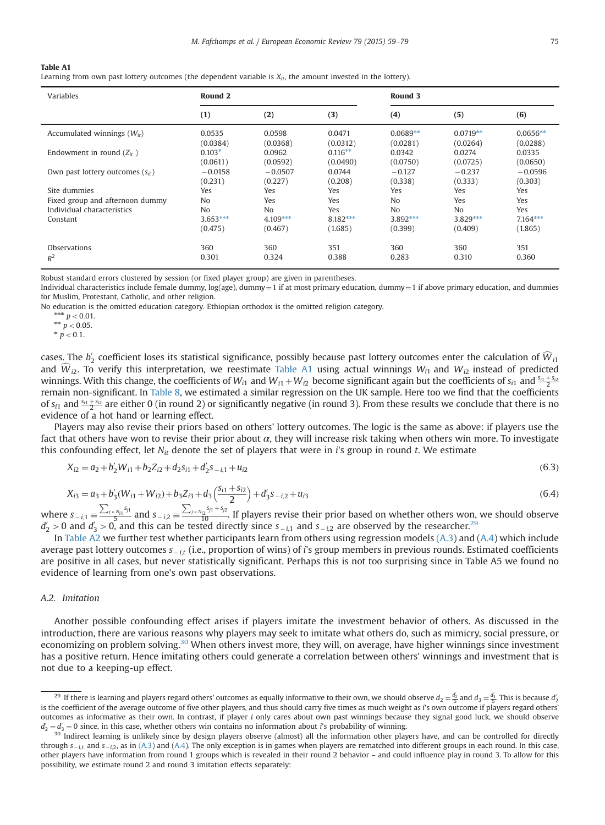#### <span id="page-16-0"></span>Table A1

Learning from own past lottery outcomes (the dependent variable is  $X_{it}$ , the amount invested in the lottery).

| Variables                            | Round 2              |                      |                        | Round 3                |                         |                        |  |
|--------------------------------------|----------------------|----------------------|------------------------|------------------------|-------------------------|------------------------|--|
|                                      | (1)                  | (2)                  | (3)                    | (4)                    | (5)                     | (6)                    |  |
| Accumulated winnings $(W_{it})$      | 0.0535<br>(0.0384)   | 0.0598<br>(0.0368)   | 0.0471<br>(0.0312)     | $0.0689**$<br>(0.0281) | $0.0719***$<br>(0.0264) | $0.0656**$<br>(0.0288) |  |
| Endowment in round $(Z_{it})$        | $0.103*$<br>(0.0611) | 0.0962<br>(0.0592)   | $0.116***$<br>(0.0490) | 0.0342<br>(0.0750)     | 0.0274<br>(0.0725)      | 0.0335<br>(0.0650)     |  |
| Own past lottery outcomes $(s_{it})$ | $-0.0158$<br>(0.231) | $-0.0507$<br>(0.227) | 0.0744<br>(0.208)      | $-0.127$<br>(0.338)    | $-0.237$<br>(0.333)     | $-0.0596$<br>(0.303)   |  |
| Site dummies                         | Yes                  | Yes                  | Yes                    | Yes                    | Yes                     | Yes                    |  |
| Fixed group and afternoon dummy      | N <sub>o</sub>       | Yes                  | Yes                    | N <sub>o</sub>         | Yes                     | Yes                    |  |
| Individual characteristics           | N <sub>0</sub>       | N <sub>0</sub>       | Yes                    | N <sub>0</sub>         | N <sub>0</sub>          | <b>Yes</b>             |  |
| Constant                             | $3.653***$           | $4.109***$           | $8.182***$             | $3.892***$             | $3.829***$              | $7.164***$             |  |
|                                      | (0.475)              | (0.467)              | (1.685)                | (0.399)                | (0.409)                 | (1.865)                |  |
| Observations<br>$R^2$                | 360<br>0.301         | 360<br>0.324         | 351<br>0.388           | 360<br>0.283           | 360<br>0.310            | 351<br>0.360           |  |

Robust standard errors clustered by session (or fixed player group) are given in parentheses.

Individual characteristics include female dummy, log(age), dummy = 1 if at most primary education, dummy = 1 if above primary education, and dummies for Muslim, Protestant, Catholic, and other religion.

No education is the omitted education category. Ethiopian orthodox is the omitted religion category.<br>  $\frac{1}{2}$   $p < 0.01$ .

cases. The  $b_2'$  coefficient loses its statistical significance, possibly because past lottery outcomes enter the calculation of  $W_{i1}$ and  $W_{i2}$ . To verify this interpretation, we reestimate Table A1 using actual winnings  $W_{i1}$  and  $W_{i2}$  instead of predicted winnings. With this change, the coefficients of  $W_{i1}$  and  $W_{i1} + W_{i2}$  become significant again but the coefficients of  $s_{i1}$  and  $\frac{s_{i1} + s_{i2}}{2}$ remain non-significant. In [Table 8,](#page-14-0) we estimated a similar regression on the UK sample. Here too we find that the coefficients of  $s_{i1}$  and  $\frac{s_{i1}+s_{i2}}{2}$  are either 0 (in round 2) or significantly negative (in round 3). From these results we conclude that there is no evidence of a hot hand or learning effect.

Players may also revise their priors based on others' lottery outcomes. The logic is the same as above: if players use the fact that others have won to revise their prior about  $\alpha$ , they will increase risk taking when others win more. To investigate this confounding effect, let  $N_{it}$  denote the set of players that were in i's group in round t. We estimate

$$
X_{i2} = a_2 + b'_2 W_{i1} + b_2 Z_{i2} + d_2 S_{i1} + d'_2 S_{-i,1} + u_{i2}
$$
\n
$$
(6.3)
$$

$$
X_{i3} = a_3 + b'_3(W_{i1} + W_{i2}) + b_3 Z_{i3} + d_3 \left(\frac{s_{i1} + s_{i2}}{2}\right) + d'_3 s_{-i,2} + u_{i3}
$$
\n
$$
\sum_{i=1,2,3} s_{i1} + s_{i2} \sum_{i=1,3,4} s_{i1} + s_{i2} \sum_{i=1,4} s_{i1} + s_{i3} \sum_{i=1,4} s_{i1} + s_{i3} \sum_{i=1,4} s_{i1} + s_{i3} \sum_{i=1,4} s_{i1} + s_{i3} \sum_{i=1,4} s_{i1} + s_{i3} \sum_{i=1,4} s_{i1} + s_{i3} \sum_{i=1,4} s_{i1} + s_{i3} \sum_{i=1,4} s_{i1} + s_{i3} \sum_{i=1,4} s_{i1} + s_{i3} \sum_{i=1,4} s_{i1} + s_{i3} \sum_{i=1,4} s_{i1} + s_{i3} \sum_{i=1,4} s_{i2} + s_{i3} \sum_{i=1,4} s_{i1} + s_{i3} \sum_{i=1,4} s_{i1} + s_{i3} \sum_{i=1,4} s_{i1} + s_{i3} \sum_{i=1,4} s_{i2} + s_{i3} \sum_{i=1,4} s_{i3} + s_{i3} \sum_{i=1,4} s_{i1} + s_{i3} \sum_{i=1,4} s_{i2} + s_{i3} \sum_{i=1,4} s_{i1} + s_{i3} \sum_{i=1,4} s_{i2} + s_{i3} \sum_{i=1,4} s_{i1} + s_{i3} \sum_{i=1,4} s_{i2} + s_{i3} \sum_{i=1,4} s_{i1} + s_{i3} \sum_{i=1,4} s_{i1} + s_{i3} \sum_{i=1,4} s_{i2} + s_{i3} \sum_{i=1,4} s_{i1} + s_{i3} \sum_{i=1,4} s_{i1} + s_{i3} \sum_{i=1,4} s_{i1} + s_{i3} \sum_{i=1,4} s_{i1} + s_{i3} \sum_{i=1,4} s_{i2} + s_{i3} \sum_{i=1,4} s_{i2
$$

where  $s_{-i,1} \equiv$  $\frac{\sum_{j \in N_{i1}} s_{j1}}{5}$  and  $s_{-i,2} \equiv$  $\frac{\sum_{j \in N_{12}} s_{j1} + s_{j2}}{10}$ . If players revise their prior based on whether others won, we should observe  $d_2$  > 0 and  $d_3$  > 0, and this can be tested directly since  $s_{-i,1}$  and  $s_{-i,2}$  are observed by the researcher.<sup>29</sup>

In [Table A2](#page-17-0) we further test whether participants learn from others using regression models (A.3) and (A.4) which include average past lottery outcomes  $s_{-it}$  (i.e., proportion of wins) of i's group members in previous rounds. Estimated coefficients are positive in all cases, but never statistically significant. Perhaps this is not too surprising since in Table A5 we found no evidence of learning from one's own past observations.

# A.2. Imitation

Another possible confounding effect arises if players imitate the investment behavior of others. As discussed in the introduction, there are various reasons why players may seek to imitate what others do, such as mimicry, social pressure, or economizing on problem solving.<sup>30</sup> When others invest more, they will, on average, have higher winnings since investment has a positive return. Hence imitating others could generate a correlation between others' winnings and investment that is not due to a keeping-up effect.

<sup>\*\*</sup>  $p$  < 0.05.<br>\*  $p$  < 0.1.

<sup>&</sup>lt;sup>29</sup> If there is learning and players regard others' outcomes as equally informative to their own, we should observe  $d_2 = \frac{d_2}{3}$  and  $d_3 = \frac{d_3}{3}$ . This is because  $d_2'$ is the coefficient of the average outcome of five other players, and thus should carry five times as much weight as i's own outcome if players regard others' outcomes as informative as their own. In contrast, if player i only cares about own past winnings because they signal good luck, we should observe  $d'_2 = d'_3$ 

<sup>&</sup>lt;sup>30</sup> Indirect learning is unlikely since by design players observe (almost) all the information other players have, and can be controlled for directly through  $s_{-i,1}$  and  $s_{-i,2}$ , as in (A.3) and (A.4). The only exception is in games when players are rematched into different groups in each round. In this case, other players have information from round 1 groups which is revealed in their round 2 behavior – and could influence play in round 3. To allow for this possibility, we estimate round 2 and round 3 imitation effects separately: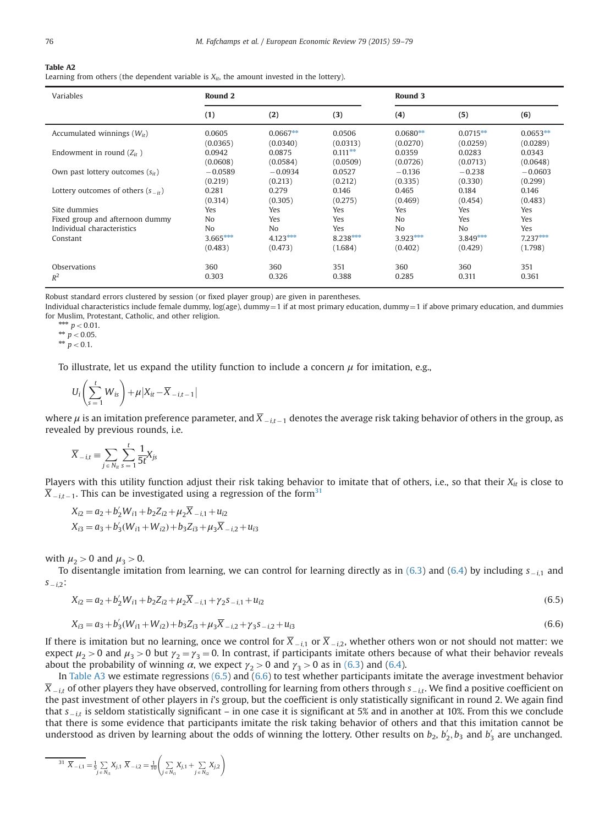#### <span id="page-17-0"></span>Table A2

Learning from others (the dependent variable is  $X_{it}$ , the amount invested in the lottery).

| Variables                              | Round 2              |                        |                        | Round 3                |                         |                        |  |
|----------------------------------------|----------------------|------------------------|------------------------|------------------------|-------------------------|------------------------|--|
|                                        | (1)                  | (2)                    | (3)                    | (4)                    | (5)                     | (6)                    |  |
| Accumulated winnings $(W_{it})$        | 0.0605<br>(0.0365)   | $0.0667**$<br>(0.0340) | 0.0506<br>(0.0313)     | $0.0680**$<br>(0.0270) | $0.0715***$<br>(0.0259) | $0.0653**$<br>(0.0289) |  |
| Endowment in round $(Z_{it})$          | 0.0942<br>(0.0608)   | 0.0875<br>(0.0584)     | $0.111***$<br>(0.0509) | 0.0359<br>(0.0726)     | 0.0283<br>(0.0713)      | 0.0343<br>(0.0648)     |  |
| Own past lottery outcomes $(s_{it})$   | $-0.0589$<br>(0.219) | $-0.0934$<br>(0.213)   | 0.0527<br>(0.212)      | $-0.136$<br>(0.335)    | $-0.238$<br>(0.330)     | $-0.0603$<br>(0.299)   |  |
| Lottery outcomes of others $(s_{-it})$ | 0.281<br>(0.314)     | 0.279<br>(0.305)       | 0.146<br>(0.275)       | 0.465<br>(0.469)       | 0.184<br>(0.454)        | 0.146<br>(0.483)       |  |
| Site dummies                           | Yes                  | Yes                    | Yes                    | Yes                    | Yes                     | Yes                    |  |
| Fixed group and afternoon dummy        | N <sub>o</sub>       | Yes                    | Yes                    | No                     | Yes                     | Yes                    |  |
| Individual characteristics             | N <sub>0</sub>       | No                     | Yes                    | N <sub>0</sub>         | N <sub>0</sub>          | Yes                    |  |
| Constant                               | $3.665***$           | $4.123***$             | $8.238***$             | $3.923***$             | $3.849***$              | $7.237***$             |  |
|                                        | (0.483)              | (0.473)                | (1,684)                | (0.402)                | (0.429)                 | (1.798)                |  |
| Observations                           | 360                  | 360                    | 351                    | 360                    | 360                     | 351                    |  |
| $R^2$                                  | 0.303                | 0.326                  | 0.388                  | 0.285                  | 0.311                   | 0.361                  |  |

Robust standard errors clustered by session (or fixed player group) are given in parentheses.

Individual characteristics include female dummy, log(age), dummy=1 if at most primary education, dummy=1 if above primary education, and dummies for Muslim, Protestant, Catholic, and other religion.

To illustrate, let us expand the utility function to include a concern  $\mu$  for imitation, e.g.,

$$
U_i\left(\sum_{s=1}^t W_{is}\right) + \mu \left|X_{it} - \overline{X}_{-i,t-1}\right|
$$

where  $\mu$  is an imitation preference parameter, and  $\overline{X}_{-i,t-1}$  denotes the average risk taking behavior of others in the group, as revealed by previous rounds, i.e.

$$
\overline{X}_{-i,t} \equiv \sum_{j \in N_{it}} \sum_{s=1}^{t} \frac{1}{5t} X_{js}
$$

Players with this utility function adjust their risk taking behavior to imitate that of others, i.e., so that their  $X_{it}$  is close to  $\overline{X}_{-i,t-1}$ . This can be investigated using a regression of the form<sup>31</sup>

$$
X_{i2} = a_2 + b'_2 W_{i1} + b_2 Z_{i2} + \mu_2 \overline{X}_{-i,1} + u_{i2}
$$
  

$$
X_{i3} = a_3 + b'_3(W_{i1} + W_{i2}) + b_3 Z_{i3} + \mu_3 \overline{X}_{-i,2} + u_{i3}
$$

with  $\mu_2 > 0$  and  $\mu_3 > 0$ .

To disentangle imitation from learning, we can control for learning directly as in [\(6.3](#page-16-0)) and ([6.4](#page-16-0)) by including  $s_{-i,1}$  and  $s_{-i,2}$ :

$$
X_{i2} = a_2 + b'_2 W_{i1} + b_2 Z_{i2} + \mu_2 \overline{X}_{-i,1} + \gamma_2 S_{-i,1} + u_{i2}
$$
\n
$$
(6.5)
$$

$$
X_{i3} = a_3 + b'_3(W_{i1} + W_{i2}) + b_3 Z_{i3} + \mu_3 \overline{X}_{-i,2} + \gamma_3 S_{-i,2} + u_{i3}
$$
\n
$$
(6.6)
$$

If there is imitation but no learning, once we control for  $X_{-i,1}$  or  $X_{-i,2}$ , whether others won or not should not matter: we expect  $\mu_2>0$  and  $\mu_3>0$  but  $\gamma_2=\gamma_3=0$ . In contrast, if participants imitate others because of what their behavior reveals about the probability of winning  $\alpha$ , we expect  $\gamma_2 > 0$  and  $\gamma_3 > 0$  as in [\(6.3](#page-16-0)) and ([6.4](#page-16-0)).

In [Table A3](#page-18-0) we estimate regressions (6.5) and (6.6) to test whether participants imitate the average investment behavior  $X_{-i,t}$  of other players they have observed, controlling for learning from others through  $s_{-i,t}$ . We find a positive coefficient on the past investment of other players in i's group, but the coefficient is only statistically significant in round 2. We again find that  $s_{-i,t}$  is seldom statistically significant – in one case it is significant at 5% and in another at 10%. From this we conclude that there is some evidence that participants imitate the risk taking behavior of others and that this imitation cannot be understood as driven by learning about the odds of winning the lottery. Other results on  $b_2$ ,  $b'_2$ ,  $b_3$  and  $b'_3$  are unchanged.

$$
\overline{31 \overline{X}_{-i,1}} = \frac{1}{5} \sum_{j \in N_{i1}} X_{j,1} \overline{X}_{-i,2} = \frac{1}{10} \left( \sum_{j \in N_{i1}} X_{j,1} + \sum_{j \in N_{i2}} X_{j,2} \right)
$$

<sup>\*\*\*</sup>  $p < 0.01$ .<br>\*\*  $p < 0.05$ .<br>\*\*  $p < 0.1$ .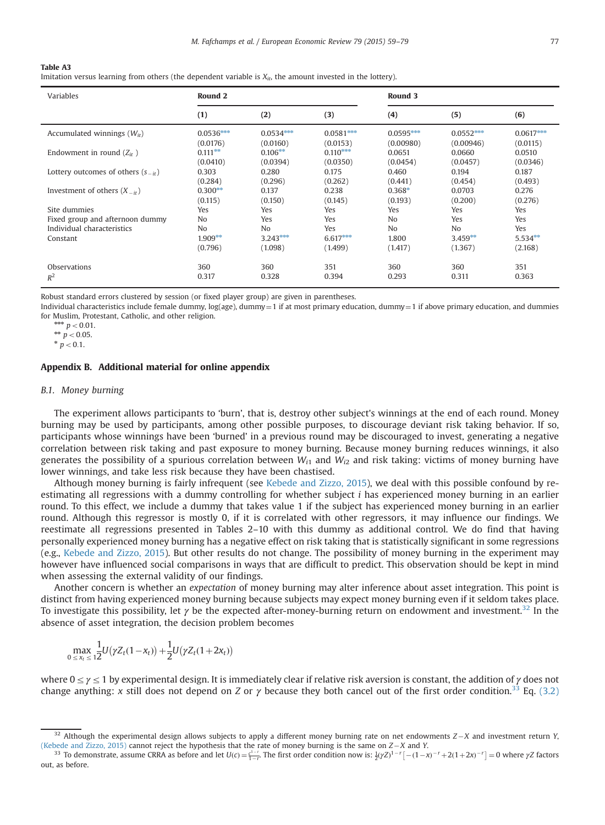#### <span id="page-18-0"></span>Table A3

Imitation versus learning from others (the dependent variable is  $X_{it}$ , the amount invested in the lottery).

| Variables                              | Round 2                 |                         |                         | Round 3                  |                          |                         |  |
|----------------------------------------|-------------------------|-------------------------|-------------------------|--------------------------|--------------------------|-------------------------|--|
|                                        | (1)                     | (2)                     | (3)                     | (4)                      | (5)                      | (6)                     |  |
| Accumulated winnings $(W_{it})$        | $0.0536***$<br>(0.0176) | $0.0534***$<br>(0.0160) | $0.0581***$<br>(0.0153) | $0.0595***$<br>(0.00980) | $0.0552***$<br>(0.00946) | $0.0617***$<br>(0.0115) |  |
| Endowment in round $(Z_{it})$          | $0.111***$<br>(0.0410)  | $0.106***$<br>(0.0394)  | $0.110***$<br>(0.0350)  | 0.0651<br>(0.0454)       | 0.0660<br>(0.0457)       | 0.0510<br>(0.0346)      |  |
| Lottery outcomes of others $(s_{-it})$ | 0.303<br>(0.284)        | 0.280<br>(0.296)        | 0.175<br>(0.262)        | 0.460<br>(0.441)         | 0.194<br>(0.454)         | 0.187<br>(0.493)        |  |
| Investment of others $(X_{-it})$       | $0.300**$<br>(0.115)    | 0.137<br>(0.150)        | 0.238<br>(0.145)        | $0.368*$<br>(0.193)      | 0.0703<br>(0.200)        | 0.276<br>(0.276)        |  |
| Site dummies                           | Yes                     | Yes                     | Yes                     | Yes                      | Yes                      | Yes                     |  |
| Fixed group and afternoon dummy        | N <sub>0</sub>          | Yes                     | Yes                     | N <sub>0</sub>           | Yes                      | Yes                     |  |
| Individual characteristics             | N <sub>0</sub>          | No                      | Yes                     | N <sub>o</sub>           | N <sub>o</sub>           | Yes                     |  |
| Constant                               | $1.909***$              | $3.243***$              | $6.617***$              | 1.800                    | $3.459***$               | $5.534**$               |  |
|                                        | (0.796)                 | (1.098)                 | (1.499)                 | (1.417)                  | (1.367)                  | (2.168)                 |  |
| <b>Observations</b>                    | 360                     | 360                     | 351                     | 360                      | 360                      | 351                     |  |
| $R^2$                                  | 0.317                   | 0.328                   | 0.394                   | 0.293                    | 0.311                    | 0.363                   |  |

Robust standard errors clustered by session (or fixed player group) are given in parentheses.

Individual characteristics include female dummy, log(age), dummy = 1 if at most primary education, dummy = 1 if above primary education, and dummies for Muslim, Protestant, Catholic, and other religion.

\*\*\*  $p < 0.01$ .<br>\*\*  $p < 0.05$ .<br>\*  $p < 0.1$ .

# Appendix B. Additional material for online appendix

# B.1. Money burning

The experiment allows participants to 'burn', that is, destroy other subject's winnings at the end of each round. Money burning may be used by participants, among other possible purposes, to discourage deviant risk taking behavior. If so, participants whose winnings have been 'burned' in a previous round may be discouraged to invest, generating a negative correlation between risk taking and past exposure to money burning. Because money burning reduces winnings, it also generates the possibility of a spurious correlation between  $W_{i1}$  and  $W_{i2}$  and risk taking: victims of money burning have lower winnings, and take less risk because they have been chastised.

Although money burning is fairly infrequent (see [Kebede and Zizzo, 2015](#page-19-0)), we deal with this possible confound by reestimating all regressions with a dummy controlling for whether subject i has experienced money burning in an earlier round. To this effect, we include a dummy that takes value 1 if the subject has experienced money burning in an earlier round. Although this regressor is mostly 0, if it is correlated with other regressors, it may influence our findings. We reestimate all regressions presented in Tables 2–10 with this dummy as additional control. We do find that having personally experienced money burning has a negative effect on risk taking that is statistically significant in some regressions (e.g., [Kebede and Zizzo, 2015](#page-19-0)). But other results do not change. The possibility of money burning in the experiment may however have influenced social comparisons in ways that are difficult to predict. This observation should be kept in mind when assessing the external validity of our findings.

Another concern is whether an expectation of money burning may alter inference about asset integration. This point is distinct from having experienced money burning because subjects may expect money burning even if it seldom takes place. To investigate this possibility, let  $\gamma$  be the expected after-money-burning return on endowment and investment.<sup>32</sup> In the absence of asset integration, the decision problem becomes

$$
\max_{0 \le x_t \le 1} \frac{1}{2} U(\gamma Z_t(1 - x_t)) + \frac{1}{2} U(\gamma Z_t(1 + 2x_t))
$$

where  $0 \le \gamma \le 1$  by experimental design. It is immediately clear if relative risk aversion is constant, the addition of  $\gamma$  does not change anything: x still does not depend on Z or  $\gamma$  because they both cancel out of the first order condition.<sup>33</sup> Eq. [\(3.2\)](#page-3-0)

 $32$  Although the experimental design allows subjects to apply a different money burning rate on net endowments  $Z-X$  and investment return Y, [\(Kebede and Zizzo, 2015\)](#page-19-0) cannot reject the hypothesis that the rate of money burning is the same on  $Z-X$  and Y.

<sup>&</sup>lt;sup>33</sup> To demonstrate, assume CRRA as before and let  $U(c) = \frac{c^{1-r}}{1-r}$ . The first order condition now is:  $\frac{1}{2}(\gamma Z)^{1-r} \left[ -(1-x)^{-r} + 2(1+2x)^{-r} \right] = 0$  where  $\gamma Z$  factors out, as before.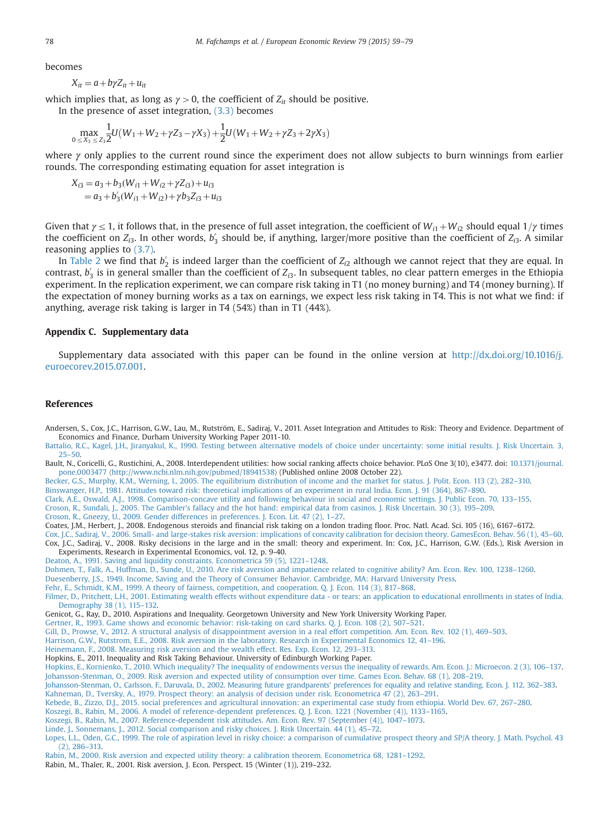<span id="page-19-0"></span>becomes

$$
X_{it} = a + b\gamma Z_{it} + u_{it}
$$

which implies that, as long as  $\gamma > 0$ , the coefficient of  $Z_{it}$  should be positive.

In the presence of asset integration, [\(3.3\)](#page-3-0) becomes

$$
\max_{0 \le X_3 \le Z_3} \frac{1}{2} U(W_1 + W_2 + \gamma Z_3 - \gamma X_3) + \frac{1}{2} U(W_1 + W_2 + \gamma Z_3 + 2\gamma X_3)
$$

where  $\gamma$  only applies to the current round since the experiment does not allow subjects to burn winnings from earlier rounds. The corresponding estimating equation for asset integration is

$$
X_{i3} = a_3 + b_3(W_{i1} + W_{i2} + \gamma Z_{i3}) + u_{i3}
$$
  
=  $a_3 + b'_3(W_{i1} + W_{i2}) + \gamma b_3 Z_{i3} + u_{i3}$ 

Given that  $\gamma\leq1$ , it follows that, in the presence of full asset integration, the coefficient of  $W_{i1} + W_{i2}$  should equal  $1/\gamma$  times the coefficient on  $Z_{i3}$ . In other words,  $b_3'$  should be, if anything, larger/more positive than the coefficient of  $Z_{i3}$ . A similar reasoning applies to [\(3.7\).](#page-4-0)

In [Table 2](#page-9-0) we find that  $b_2'$  is indeed larger than the coefficient of  $Z_{i2}$  although we cannot reject that they are equal. In contrast,  $b_3$  is in general smaller than the coefficient of  $Z_{i3}$ . In subsequent tables, no clear pattern emerges in the Ethiopia experiment. In the replication experiment, we can compare risk taking in T1 (no money burning) and T4 (money burning). If the expectation of money burning works as a tax on earnings, we expect less risk taking in T4. This is not what we find: if anything, average risk taking is larger in T4 (54%) than in T1 (44%).

# Appendix C. Supplementary data

Supplementary data associated with this paper can be found in the online version at [http://dx.doi.org/10.1016/j.](http://dx.doi.org/10.1016/j.euroecorev.2015.07.001) [euroecorev.2015.07.001](http://dx.doi.org/10.1016/j.euroecorev.2015.07.001).

#### References

Andersen, S., Cox, J.C., Harrison, G.W., Lau, M., Rutström, E., Sadiraj, V., 2011. Asset Integration and Attitudes to Risk: Theory and Evidence. Department of Economics and Finance, Durham University Working Paper 2011-10.

[Battalio, R.C., Kagel, J.H., Jiranyakul, K., 1990. Testing between alternative models of choice under uncertainty: some initial results. J. Risk Uncertain. 3,](http://refhub.elsevier.com/S0014-2921(15)00089-6/sbref4) 25–[50.](http://refhub.elsevier.com/S0014-2921(15)00089-6/sbref4)

Bault, N., Coricelli, G., Rustichini, A., 2008. Interdependent utilities: how social ranking affects choice behavior. PLoS One 3(10), e3477. doi: [10.1371/journal.](10.1371/journal.pone.0003477) [pone.0003477](10.1371/journal.pone.0003477) 〈<http://www.ncbi.nlm.nih.gov/pubmed/18941538>〉 (Published online 2008 October 22).

[Becker, G.S., Murphy, K.M., Werning, I., 2005. The equilibrium distribution of income and the market for status. J. Polit. Econ. 113 \(2\), 282](http://refhub.elsevier.com/S0014-2921(15)00089-6/sbref6)–310.

[Binswanger, H.P., 1981. Attitudes toward risk: theoretical implications of an experiment in rural India. Econ. J. 91 \(364\), 867](http://refhub.elsevier.com/S0014-2921(15)00089-6/sbref7)-890.

[Clark, A.E., Oswald, A.J., 1998. Comparison-concave utility and following behaviour in social and economic settings. J. Public Econ. 70, 133](http://refhub.elsevier.com/S0014-2921(15)00089-6/sbref9)–155.

[Croson, R., Sundali, J., 2005. The Gambler's fallacy and the hot hand: empirical data from casinos. J. Risk Uncertain. 30 \(3\), 195](http://refhub.elsevier.com/S0014-2921(15)00089-6/sbref10)–209.

[Croson, R., Gneezy, U., 2009. Gender differences in preferences. J. Econ. Lit. 47 \(2\), 1](http://refhub.elsevier.com/S0014-2921(15)00089-6/sbref11)–27.

Coates, J.M., Herbert, J., 2008. Endogenous steroids and financial risk taking on a london trading floor. Proc. Natl. Acad. Sci. 105 (16), 6167–6172.

[Cox, J.C., Sadiraj, V., 2006. Small- and large-stakes risk aversion: implications of concavity calibration for decision theory. GamesEcon. Behav.](http://refhub.elsevier.com/S0014-2921(15)00089-6/sbref13) 56 (1), 45–60.<br>Cox, J.C., Sadiraj, V., 2008. Risky decisions in the large an Experiments, Research in Experimental Economics, vol. 12, p. 9-40.

[Deaton, A., 1991. Saving and liquidity constraints. Econometrica 59 \(5\), 1221](http://refhub.elsevier.com/S0014-2921(15)00089-6/sbref115)–1248.

[Dohmen, T., Falk, A., Huffman, D., Sunde, U., 2010. Are risk aversion and impatience related to cognitive ability? Am. Econ. Rev. 100, 1238](http://refhub.elsevier.com/S0014-2921(15)00089-6/sbref15)–1260. [Duesenberry, J.S., 1949. Income, Saving and the Theory of Consumer Behavior. Cambridge, MA: Harvard University Press.](http://refhub.elsevier.com/S0014-2921(15)00089-6/sbref117)

[Fehr, E., Schmidt, K.M., 1999. A theory of fairness, competition, and cooperation. Q. J. Econ. 114 \(3\), 817](http://refhub.elsevier.com/S0014-2921(15)00089-6/sbref116)–868.

[Filmer, D., Pritchett, L.H., 2001. Estimating wealth effects without expenditure data - or tears: an application to educational enrollments in states of India.](http://refhub.elsevier.com/S0014-2921(15)00089-6/sbref16)

[Demography 38 \(1\), 115](http://refhub.elsevier.com/S0014-2921(15)00089-6/sbref16)–132.

Genicot, G., Ray, D., 2010. Aspirations and Inequality. Georgetown University and New York University Working Paper.

[Gertner, R., 1993. Game shows and economic behavior: risk-taking on card sharks. Q. J. Econ. 108 \(2\), 507](http://refhub.elsevier.com/S0014-2921(15)00089-6/sbref18)–521.

[Gill, D., Prowse, V., 2012. A structural analysis of disappointment aversion in a real effort competition. Am. Econ. Rev. 102 \(1\), 469](http://refhub.elsevier.com/S0014-2921(15)00089-6/sbref19)–503.

[Harrison, G.W., Rutstrom, E.E., 2008. Risk aversion in the laboratory. Research in Experimental Economics 12, 41](http://refhub.elsevier.com/S0014-2921(15)00089-6/sbref120)–196.

[Heinemann, F., 2008. Measuring risk aversion and the wealth effect. Res. Exp. Econ. 12, 293](http://refhub.elsevier.com/S0014-2921(15)00089-6/sbref20)–313.

Hopkins, E., 2011. Inequality and Risk Taking Behaviour. University of Edinburgh Working Paper.

[Hopkins, E., Kornienko, T., 2010. Which inequality? The inequality of endowments versus the inequality of rewards. Am. Econ. J.: Microecon. 2 \(3\), 106](http://refhub.elsevier.com/S0014-2921(15)00089-6/sbref22)–137. [Johansson-Stenman, O., 2009. Risk aversion and expected utility of consumption over time. Games Econ. Behav. 68 \(1\), 208](http://refhub.elsevier.com/S0014-2921(15)00089-6/sbref23)–219.

[Johansson-Stenman, O., Carlsson, F., Daruvala, D., 2002. Measuring future grandparents' preferences for equality and relative standing. Econ. J.](http://refhub.elsevier.com/S0014-2921(15)00089-6/sbref24) 112, 362–383. [Kahneman, D., Tversky, A., 1979. Prospect theory: an analysis of decision under risk. Econometrica 47 \(2\), 263](http://refhub.elsevier.com/S0014-2921(15)00089-6/sbref25)–291.

[Kebede, B., Zizzo, D.J., 2015. social preferences and agricultural innovation: an experimental case study from ethiopia. World Dev. 67, 267](http://refhub.elsevier.com/S0014-2921(15)00089-6/sbref27)–280.

[Koszegi, B., Rabin, M., 2006. A model of reference-dependent preferences. Q. J. Econ. 1221 \(November \(4\)\), 1133](http://refhub.elsevier.com/S0014-2921(15)00089-6/sbref28)–1165.

[Koszegi, B., Rabin, M., 2007. Reference-dependent risk attitudes. Am. Econ. Rev. 97 \(September \(4\)\), 1047](http://refhub.elsevier.com/S0014-2921(15)00089-6/sbref29)–1073.

[Linde, J., Sonnemans, J., 2012. Social comparison and risky choices. J. Risk Uncertain. 44 \(1\), 45](http://refhub.elsevier.com/S0014-2921(15)00089-6/sbref130)–72.

[Lopes, L.L., Oden, G.C., 1999. The role of aspiration level in risky choice: a comparison of cumulative prospect theory and SP/A theory. J. Math. Psychol. 43](http://refhub.elsevier.com/S0014-2921(15)00089-6/sbref30) [\(2\), 286](http://refhub.elsevier.com/S0014-2921(15)00089-6/sbref30)–313.

[Rabin, M., 2000. Risk aversion and expected utility theory: a calibration theorem. Econometrica 68, 1281](http://refhub.elsevier.com/S0014-2921(15)00089-6/sbref33)–1292.

Rabin, M., Thaler, R., 2001. Risk aversion, J. Econ. Perspect. 15 (Winter (1)), 219–232.